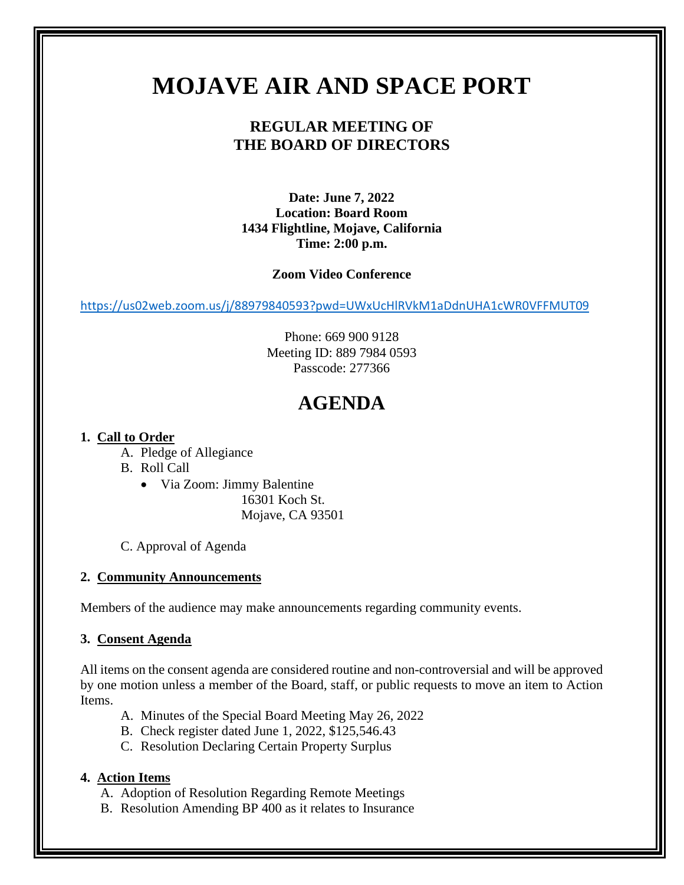# **MOJAVE AIR AND SPACE PORT**

# **REGULAR MEETING OF THE BOARD OF DIRECTORS**

**Date: June 7, 2022 Location: Board Room 1434 Flightline, Mojave, California Time: 2:00 p.m.** 

## **Zoom Video Conference**

<https://us02web.zoom.us/j/88979840593?pwd=UWxUcHlRVkM1aDdnUHA1cWR0VFFMUT09>

Phone: 669 900 9128 Meeting ID: 889 7984 0593 Passcode: 277366

# **AGENDA**

# **1. Call to Order**

- A. Pledge of Allegiance
- B. Roll Call
	- Via Zoom: Jimmy Balentine

16301 Koch St. Mojave, CA 93501

C. Approval of Agenda

## **2. Community Announcements**

Members of the audience may make announcements regarding community events.

## **3. Consent Agenda**

All items on the consent agenda are considered routine and non-controversial and will be approved by one motion unless a member of the Board, staff, or public requests to move an item to Action Items.

- A. Minutes of the Special Board Meeting May 26, 2022
- B. Check register dated June 1, 2022, \$125,546.43
- C. Resolution Declaring Certain Property Surplus

# **4. Action Items**

- A. Adoption of Resolution Regarding Remote Meetings
- B. Resolution Amending BP 400 as it relates to Insurance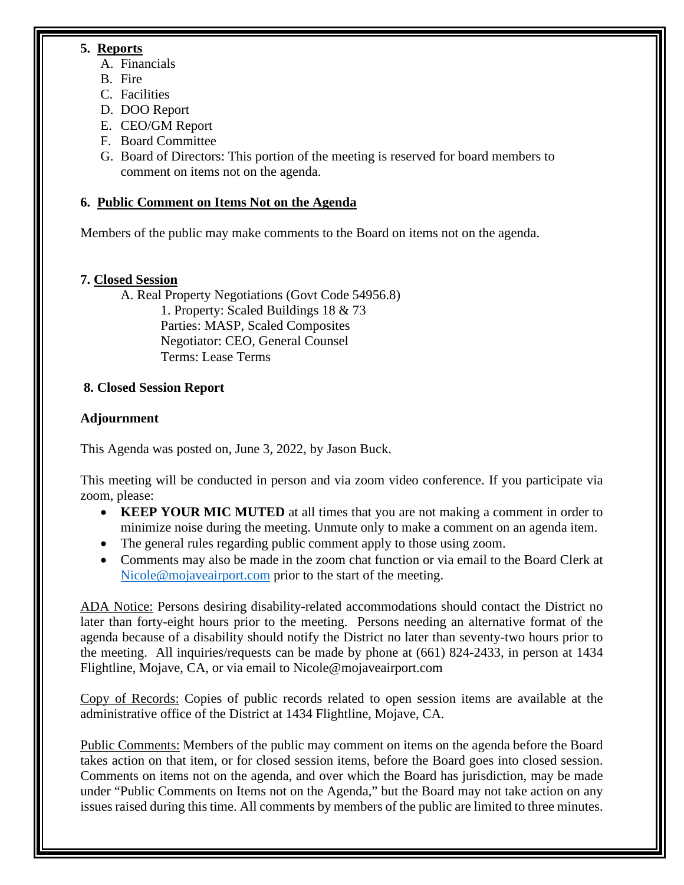# **5. Reports**

- A. Financials
- B. Fire
- C. Facilities
- D. DOO Report
- E. CEO/GM Report
- F. Board Committee
- G. Board of Directors: This portion of the meeting is reserved for board members to comment on items not on the agenda.

# **6. Public Comment on Items Not on the Agenda**

Members of the public may make comments to the Board on items not on the agenda.

# **7. Closed Session**

A. Real Property Negotiations (Govt Code 54956.8) 1. Property: Scaled Buildings 18 & 73 Parties: MASP, Scaled Composites Negotiator: CEO, General Counsel Terms: Lease Terms

# **8. Closed Session Report**

# **Adjournment**

This Agenda was posted on, June 3, 2022, by Jason Buck.

This meeting will be conducted in person and via zoom video conference. If you participate via zoom, please:

- **KEEP YOUR MIC MUTED** at all times that you are not making a comment in order to minimize noise during the meeting. Unmute only to make a comment on an agenda item.
- The general rules regarding public comment apply to those using zoom.
- Comments may also be made in the zoom chat function or via email to the Board Clerk at [Nicole@mojaveairport.com](mailto:Nicole@mojaveairport.com) prior to the start of the meeting.

ADA Notice: Persons desiring disability-related accommodations should contact the District no later than forty-eight hours prior to the meeting. Persons needing an alternative format of the agenda because of a disability should notify the District no later than seventy-two hours prior to the meeting. All inquiries/requests can be made by phone at (661) 824-2433, in person at 1434 Flightline, Mojave, CA, or via email to Nicole@mojaveairport.com

Copy of Records: Copies of public records related to open session items are available at the administrative office of the District at 1434 Flightline, Mojave, CA.

Public Comments: Members of the public may comment on items on the agenda before the Board takes action on that item, or for closed session items, before the Board goes into closed session. Comments on items not on the agenda, and over which the Board has jurisdiction, may be made under "Public Comments on Items not on the Agenda," but the Board may not take action on any issues raised during this time. All comments by members of the public are limited to three minutes.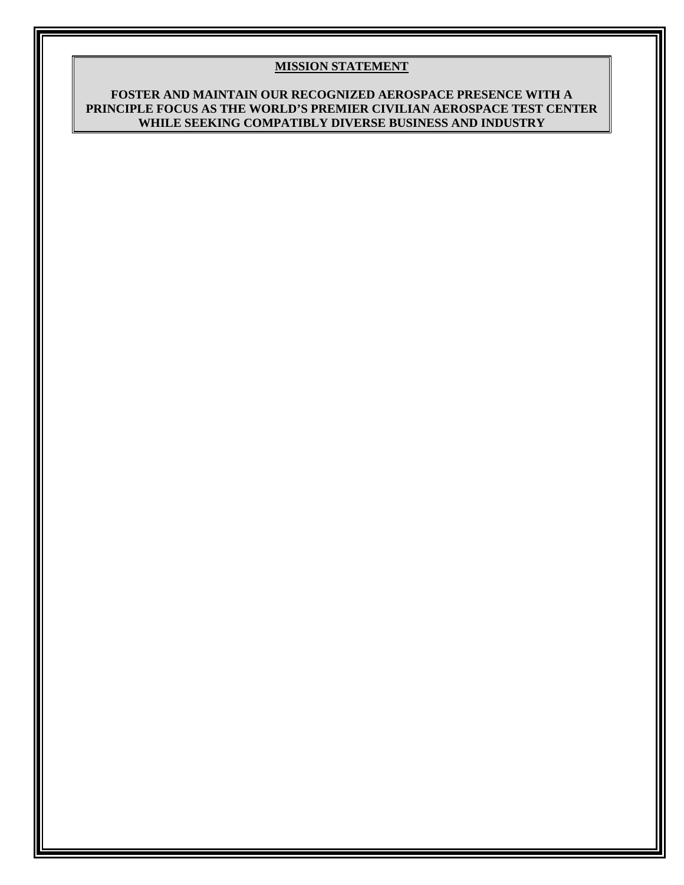#### **MISSION STATEMENT**

#### **FOSTER AND MAINTAIN OUR RECOGNIZED AEROSPACE PRESENCE WITH A PRINCIPLE FOCUS AS THE WORLD'S PREMIER CIVILIAN AEROSPACE TEST CENTER WHILE SEEKING COMPATIBLY DIVERSE BUSINESS AND INDUSTRY**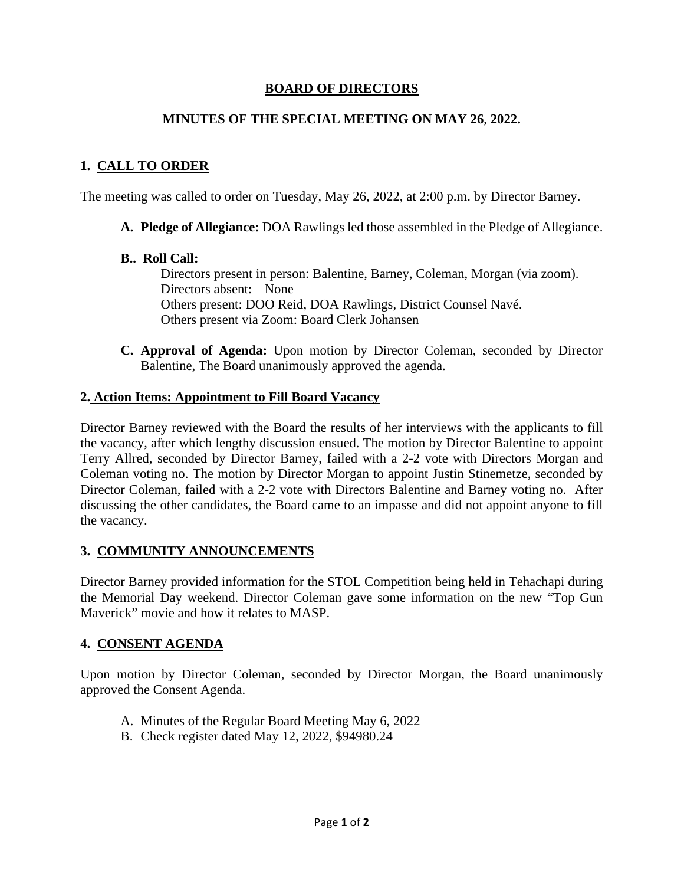## **BOARD OF DIRECTORS**

## **MINUTES OF THE SPECIAL MEETING ON MAY 26**, **2022.**

# **1. CALL TO ORDER**

The meeting was called to order on Tuesday, May 26, 2022, at 2:00 p.m. by Director Barney.

**A. Pledge of Allegiance:** DOA Rawlings led those assembled in the Pledge of Allegiance.

## **B.. Roll Call:**

Directors present in person: Balentine, Barney, Coleman, Morgan (via zoom). Directors absent: None Others present: DOO Reid, DOA Rawlings, District Counsel Navé. Others present via Zoom: Board Clerk Johansen

**C. Approval of Agenda:** Upon motion by Director Coleman, seconded by Director Balentine, The Board unanimously approved the agenda.

### **2. Action Items: Appointment to Fill Board Vacancy**

Director Barney reviewed with the Board the results of her interviews with the applicants to fill the vacancy, after which lengthy discussion ensued. The motion by Director Balentine to appoint Terry Allred, seconded by Director Barney, failed with a 2-2 vote with Directors Morgan and Coleman voting no. The motion by Director Morgan to appoint Justin Stinemetze, seconded by Director Coleman, failed with a 2-2 vote with Directors Balentine and Barney voting no. After discussing the other candidates, the Board came to an impasse and did not appoint anyone to fill the vacancy.

## **3. COMMUNITY ANNOUNCEMENTS**

Director Barney provided information for the STOL Competition being held in Tehachapi during the Memorial Day weekend. Director Coleman gave some information on the new "Top Gun Maverick" movie and how it relates to MASP.

## **4. CONSENT AGENDA**

Upon motion by Director Coleman, seconded by Director Morgan, the Board unanimously approved the Consent Agenda.

- A. Minutes of the Regular Board Meeting May 6, 2022
- B. Check register dated May 12, 2022, \$94980.24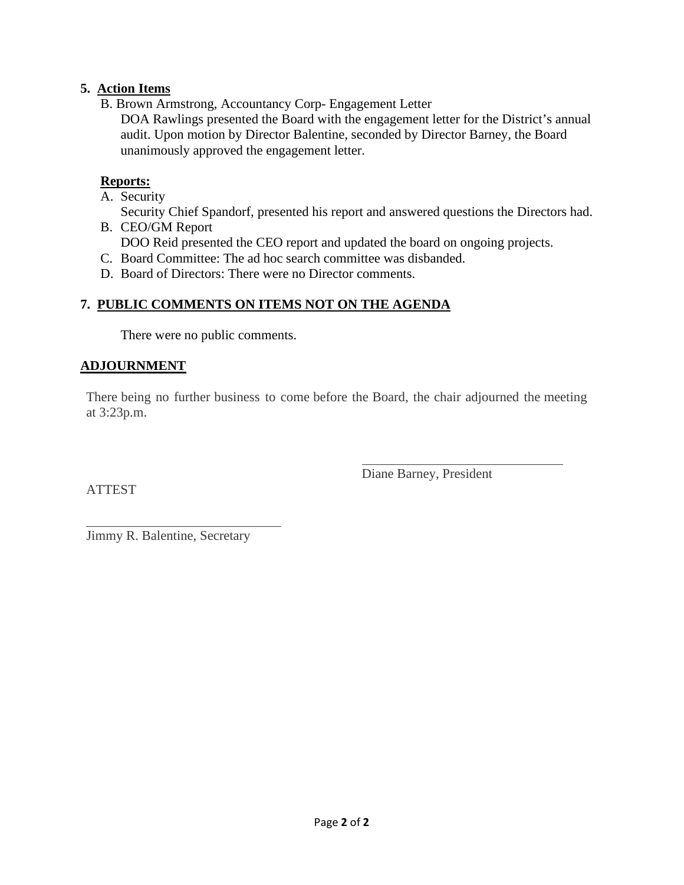# **5. Action Items**

B. Brown Armstrong, Accountancy Corp- Engagement Letter

DOA Rawlings presented the Board with the engagement letter for the District's annual audit. Upon motion by Director Balentine, seconded by Director Barney, the Board unanimously approved the engagement letter.

## **Reports:**

A. Security

Security Chief Spandorf, presented his report and answered questions the Directors had. B. CEO/GM Report

- DOO Reid presented the CEO report and updated the board on ongoing projects.
- C. Board Committee: The ad hoc search committee was disbanded.
- D. Board of Directors: There were no Director comments.

# **7. PUBLIC COMMENTS ON ITEMS NOT ON THE AGENDA**

There were no public comments.

# **ADJOURNMENT**

There being no further business to come before the Board, the chair adjourned the meeting at 3:23p.m.

ATTEST

Diane Barney, President

 $\overline{a}$ Jimmy R. Balentine, Secretary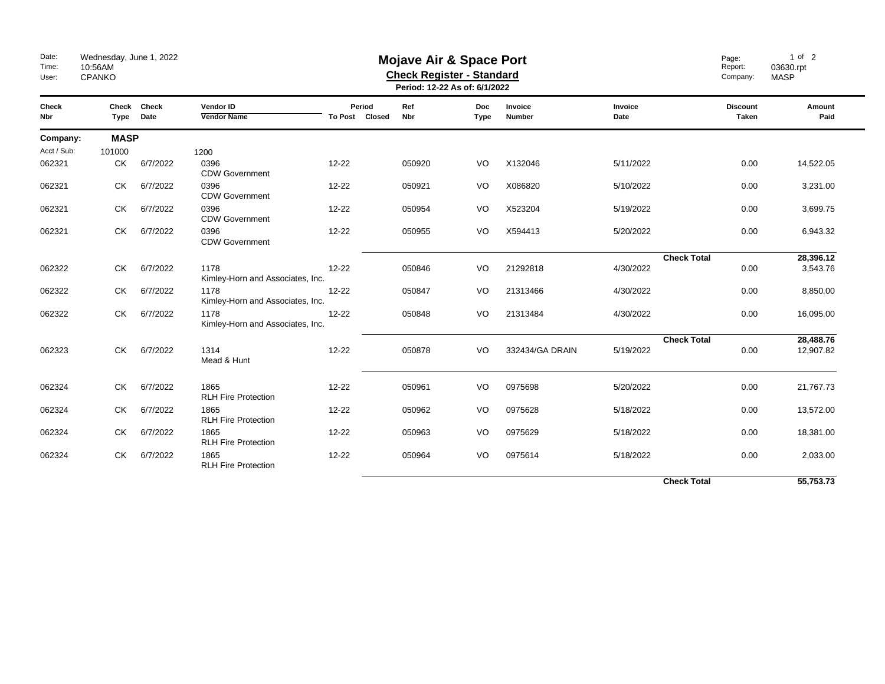| Date:<br>Time:<br>User: | Wednesday, June 1, 2022<br>10:56AM<br><b>CPANKO</b> |                     |                                          |                          | <b>Mojave Air &amp; Space Port</b><br><b>Check Register - Standard</b><br>Period: 12-22 As of: 6/1/2022 | Page:<br>Report:<br>Company: | $1$ of $2$<br>03630.rpt<br><b>MASP</b> |                 |                                 |                |
|-------------------------|-----------------------------------------------------|---------------------|------------------------------------------|--------------------------|---------------------------------------------------------------------------------------------------------|------------------------------|----------------------------------------|-----------------|---------------------------------|----------------|
| Check<br>Nbr            | Type                                                | Check Check<br>Date | <b>Vendor ID</b><br><b>Vendor Name</b>   | Period<br>To Post Closed | Ref<br>Nbr                                                                                              | <b>Doc</b><br><b>Type</b>    | Invoice<br>Number                      | Invoice<br>Date | <b>Discount</b><br><b>Taken</b> | Amount<br>Paid |
| Company:                |                                                     | <b>MASP</b>         |                                          |                          |                                                                                                         |                              |                                        |                 |                                 |                |
| Acct / Sub:             | 101000                                              |                     | 1200                                     |                          |                                                                                                         |                              |                                        |                 |                                 |                |
| 062321                  | СK                                                  | 6/7/2022            | 0396<br><b>CDW Government</b>            | 12-22                    | 050920                                                                                                  | VO                           | X132046                                | 5/11/2022       | 0.00                            | 14,522.05      |
| 062321                  | СK                                                  | 6/7/2022            | 0396<br><b>CDW Government</b>            | 12-22                    | 050921                                                                                                  | VO                           | X086820                                | 5/10/2022       | 0.00                            | 3,231.00       |
| 062321                  | <b>CK</b>                                           | 6/7/2022            | 0396<br><b>CDW Government</b>            | 12-22                    | 050954                                                                                                  | VO                           | X523204                                | 5/19/2022       | 0.00                            | 3,699.75       |
| 062321                  | СK                                                  | 6/7/2022            | 0396<br><b>CDW Government</b>            | $12 - 22$                | 050955                                                                                                  | VO                           | X594413                                | 5/20/2022       | 0.00                            | 6,943.32       |
|                         |                                                     |                     |                                          |                          |                                                                                                         |                              |                                        |                 | <b>Check Total</b>              | 28,396.12      |
| 062322                  | СK                                                  | 6/7/2022            | 1178<br>Kimley-Horn and Associates, Inc. | 12-22                    | 050846                                                                                                  | VO                           | 21292818                               | 4/30/2022       | 0.00                            | 3,543.76       |
| 062322                  | <b>CK</b>                                           | 6/7/2022            | 1178<br>Kimley-Horn and Associates, Inc. | 12-22                    | 050847                                                                                                  | VO                           | 21313466                               | 4/30/2022       | 0.00                            | 8,850.00       |
| 062322                  | СK                                                  | 6/7/2022            | 1178<br>Kimley-Horn and Associates, Inc. | $12 - 22$                | 050848                                                                                                  | VO                           | 21313484                               | 4/30/2022       | 0.00                            | 16,095.00      |
|                         |                                                     |                     |                                          |                          |                                                                                                         |                              |                                        |                 | <b>Check Total</b>              | 28,488.76      |
| 062323                  | CK                                                  | 6/7/2022            | 1314<br>Mead & Hunt                      | 12-22                    | 050878                                                                                                  | VO                           | 332434/GA DRAIN                        | 5/19/2022       | 0.00                            | 12,907.82      |
| 062324                  | CK.                                                 | 6/7/2022            | 1865                                     | $12 - 22$                | 050961                                                                                                  | VO                           | 0975698                                | 5/20/2022       | 0.00                            | 21,767.73      |
|                         |                                                     |                     | <b>RLH Fire Protection</b>               |                          |                                                                                                         |                              |                                        |                 |                                 |                |
| 062324                  | CK.                                                 | 6/7/2022            | 1865<br><b>RLH Fire Protection</b>       | 12-22                    | 050962                                                                                                  | VO                           | 0975628                                | 5/18/2022       | 0.00                            | 13,572.00      |
| 062324                  | CK.                                                 | 6/7/2022            | 1865<br><b>RLH Fire Protection</b>       | 12-22                    | 050963                                                                                                  | VO                           | 0975629                                | 5/18/2022       | 0.00                            | 18,381.00      |
| 062324                  | CK.                                                 | 6/7/2022            | 1865<br><b>RLH Fire Protection</b>       | 12-22                    | 050964                                                                                                  | VO                           | 0975614                                | 5/18/2022       | 0.00                            | 2,033.00       |
|                         |                                                     |                     |                                          |                          |                                                                                                         |                              |                                        |                 | <b>Check Total</b>              | 55,753.73      |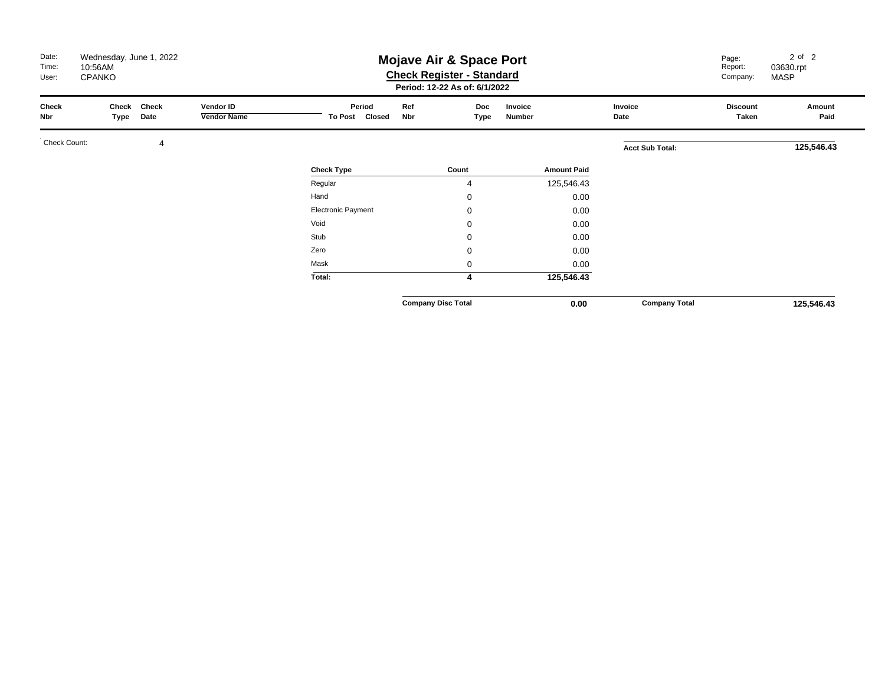| Date:<br>Time:<br>User: | Wednesday, June 1, 2022<br><b>Mojave Air &amp; Space Port</b><br>10:56AM<br><b>Check Register - Standard</b><br><b>CPANKO</b><br>Period: 12-22 As of: 6/1/2022 |               |                                 |                          |                           |                    |                    |                        | Page:<br>Report:<br>Company: | $2$ of $2$<br>03630.rpt<br><b>MASP</b> |
|-------------------------|----------------------------------------------------------------------------------------------------------------------------------------------------------------|---------------|---------------------------------|--------------------------|---------------------------|--------------------|--------------------|------------------------|------------------------------|----------------------------------------|
| Check<br>Nbr            | Check<br>Type                                                                                                                                                  | Check<br>Date | Vendor ID<br><b>Vendor Name</b> | Period<br>To Post Closed | Ref<br><b>Nbr</b>         | <b>Doc</b><br>Type | Invoice<br>Number  | Invoice<br>Date        | <b>Discount</b><br>Taken     | Amount<br>Paid                         |
| Check Count:            |                                                                                                                                                                | 4             |                                 |                          |                           |                    |                    | <b>Acct Sub Total:</b> |                              | 125,546.43                             |
|                         |                                                                                                                                                                |               |                                 | <b>Check Type</b>        | Count                     |                    | <b>Amount Paid</b> |                        |                              |                                        |
|                         |                                                                                                                                                                |               |                                 | Regular                  |                           | 4                  | 125,546.43         |                        |                              |                                        |
|                         |                                                                                                                                                                |               |                                 | Hand                     |                           | 0                  | 0.00               |                        |                              |                                        |
|                         |                                                                                                                                                                |               |                                 | Electronic Payment       |                           | 0                  | 0.00               |                        |                              |                                        |
|                         |                                                                                                                                                                |               |                                 | Void                     |                           | 0                  | 0.00               |                        |                              |                                        |
|                         |                                                                                                                                                                |               |                                 | Stub                     |                           | $\mathbf 0$        | 0.00               |                        |                              |                                        |
|                         |                                                                                                                                                                |               |                                 | Zero                     |                           | $\mathbf 0$        | 0.00               |                        |                              |                                        |
|                         |                                                                                                                                                                |               |                                 | Mask                     |                           | $\mathbf 0$        | 0.00               |                        |                              |                                        |
|                         |                                                                                                                                                                |               |                                 | Total:                   |                           | 4                  | 125,546.43         |                        |                              |                                        |
|                         |                                                                                                                                                                |               |                                 |                          | <b>Company Disc Total</b> |                    | 0.00               | <b>Company Total</b>   |                              | 125,546.43                             |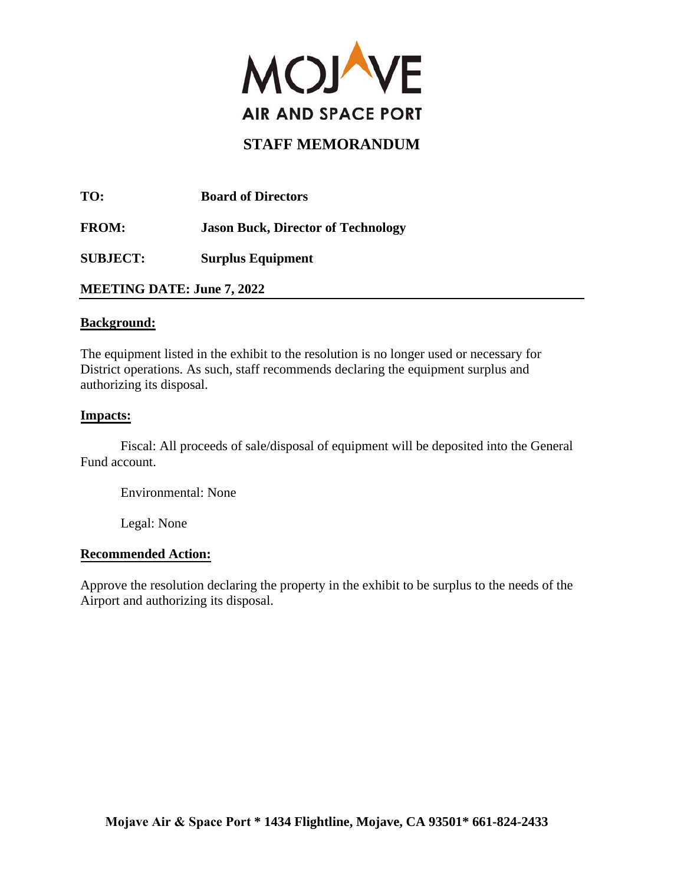

**TO: Board of Directors FROM: Jason Buck, Director of Technology SUBJECT: Surplus Equipment**

**MEETING DATE: June 7, 2022** 

#### **Background:**

The equipment listed in the exhibit to the resolution is no longer used or necessary for District operations. As such, staff recommends declaring the equipment surplus and authorizing its disposal.

#### **Impacts:**

Fiscal: All proceeds of sale/disposal of equipment will be deposited into the General Fund account.

Environmental: None

Legal: None

#### **Recommended Action:**

Approve the resolution declaring the property in the exhibit to be surplus to the needs of the Airport and authorizing its disposal.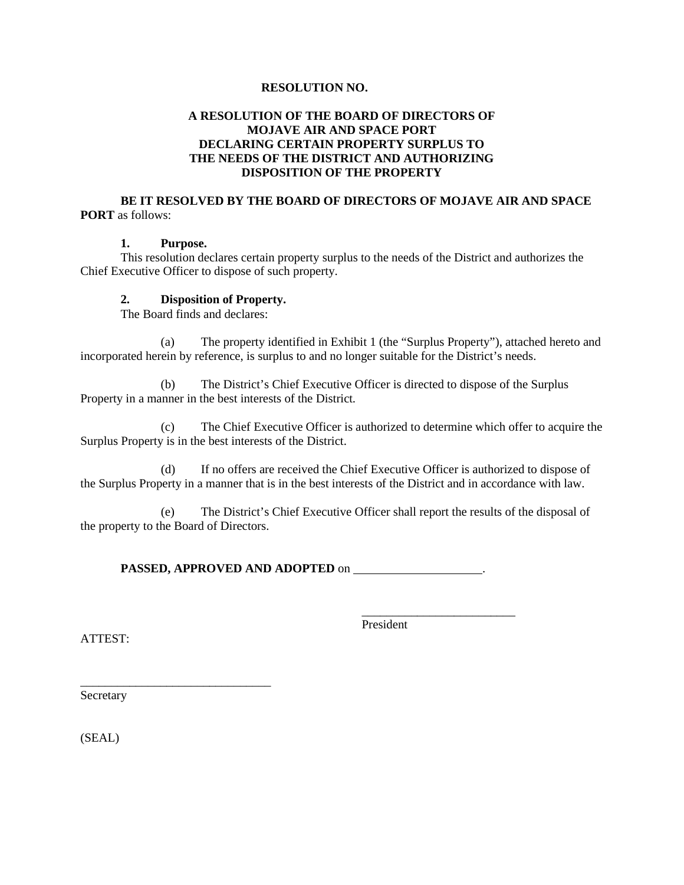#### **RESOLUTION NO.**

#### **A RESOLUTION OF THE BOARD OF DIRECTORS OF MOJAVE AIR AND SPACE PORT DECLARING CERTAIN PROPERTY SURPLUS TO THE NEEDS OF THE DISTRICT AND AUTHORIZING DISPOSITION OF THE PROPERTY**

#### **BE IT RESOLVED BY THE BOARD OF DIRECTORS OF MOJAVE AIR AND SPACE PORT** as follows:

#### **1. Purpose.**

This resolution declares certain property surplus to the needs of the District and authorizes the Chief Executive Officer to dispose of such property.

#### **2. Disposition of Property.**

The Board finds and declares:

 (a) The property identified in Exhibit 1 (the "Surplus Property"), attached hereto and incorporated herein by reference, is surplus to and no longer suitable for the District's needs.

 (b) The District's Chief Executive Officer is directed to dispose of the Surplus Property in a manner in the best interests of the District.

 (c) The Chief Executive Officer is authorized to determine which offer to acquire the Surplus Property is in the best interests of the District.

(d) If no offers are received the Chief Executive Officer is authorized to dispose of the Surplus Property in a manner that is in the best interests of the District and in accordance with law.

(e) The District's Chief Executive Officer shall report the results of the disposal of the property to the Board of Directors.

**PASSED, APPROVED AND ADOPTED** on .

President

\_\_\_\_\_\_\_\_\_\_\_\_\_\_\_\_\_\_\_\_\_\_\_\_\_

ATTEST:

Secretary

\_\_\_\_\_\_\_\_\_\_\_\_\_\_\_\_\_\_\_\_\_\_\_\_\_\_\_\_\_\_\_

(SEAL)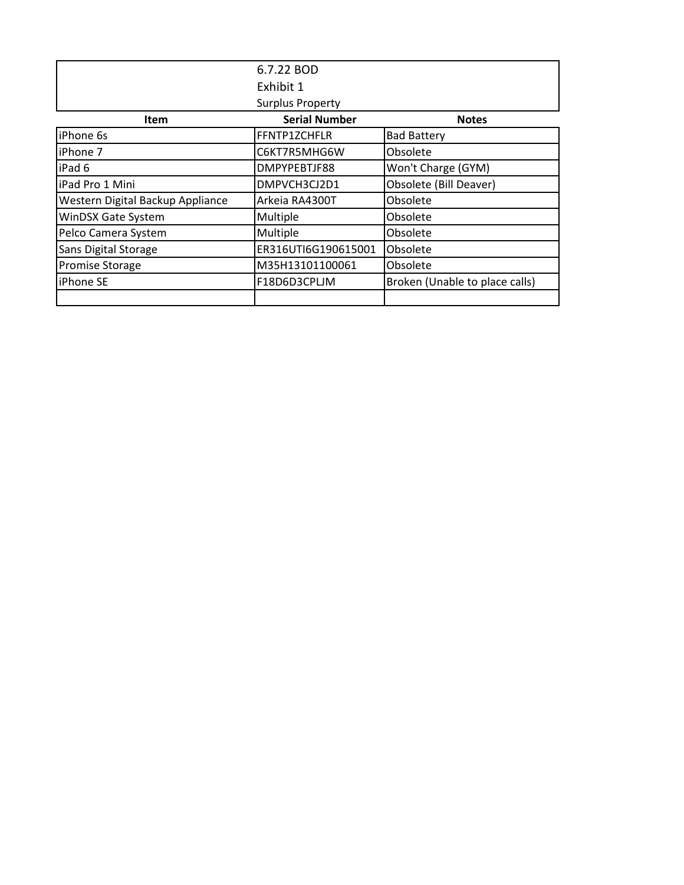|                                  | 6.7.22 BOD              |                                |
|----------------------------------|-------------------------|--------------------------------|
|                                  | Exhibit 1               |                                |
|                                  | <b>Surplus Property</b> |                                |
| <b>Item</b>                      | <b>Serial Number</b>    | <b>Notes</b>                   |
| iPhone 6s                        | FFNTP1ZCHFLR            | <b>Bad Battery</b>             |
| iPhone 7                         | C6KT7R5MHG6W            | Obsolete                       |
| iPad 6                           | DMPYPEBTJF88            | Won't Charge (GYM)             |
| iPad Pro 1 Mini                  | DMPVCH3CJ2D1            | Obsolete (Bill Deaver)         |
| Western Digital Backup Appliance | Arkeia RA4300T          | Obsolete                       |
| <b>WinDSX Gate System</b>        | Multiple                | Obsolete                       |
| Pelco Camera System              | Multiple                | Obsolete                       |
| Sans Digital Storage             | ER316UTI6G190615001     | Obsolete                       |
| <b>Promise Storage</b>           | M35H13101100061         | Obsolete                       |
| <b>iPhone SE</b>                 | F18D6D3CPLJM            | Broken (Unable to place calls) |
|                                  |                         |                                |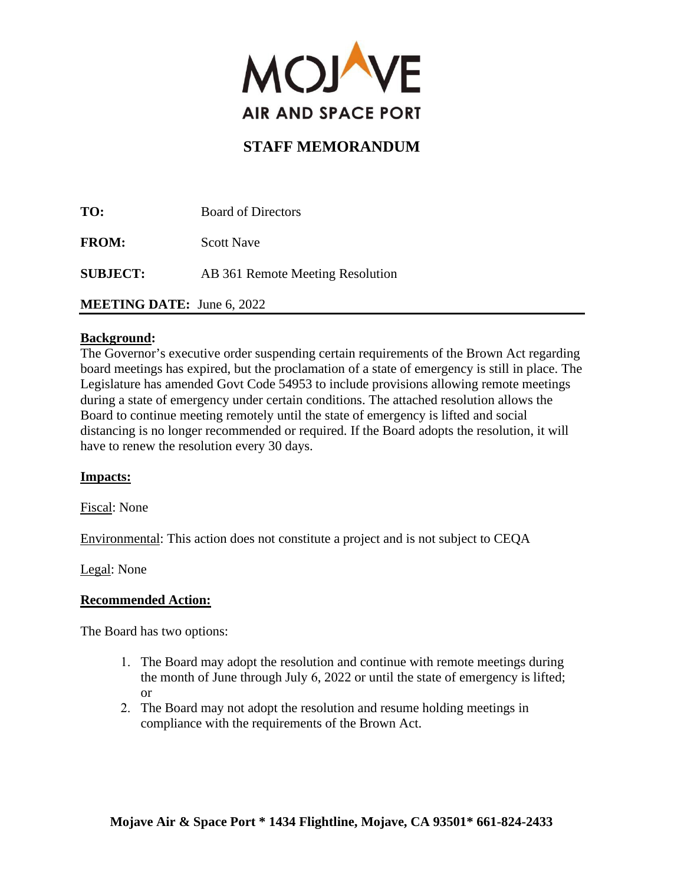

**TO:** Board of Directors **FROM:** Scott Nave **SUBJECT:** AB 361 Remote Meeting Resolution **MEETING DATE:** June 6, 2022

## **Background:**

The Governor's executive order suspending certain requirements of the Brown Act regarding board meetings has expired, but the proclamation of a state of emergency is still in place. The Legislature has amended Govt Code 54953 to include provisions allowing remote meetings during a state of emergency under certain conditions. The attached resolution allows the Board to continue meeting remotely until the state of emergency is lifted and social distancing is no longer recommended or required. If the Board adopts the resolution, it will have to renew the resolution every 30 days.

#### **Impacts:**

Fiscal: None

Environmental: This action does not constitute a project and is not subject to CEQA

Legal: None

#### **Recommended Action:**

The Board has two options:

- 1. The Board may adopt the resolution and continue with remote meetings during the month of June through July 6, 2022 or until the state of emergency is lifted; or
- 2. The Board may not adopt the resolution and resume holding meetings in compliance with the requirements of the Brown Act.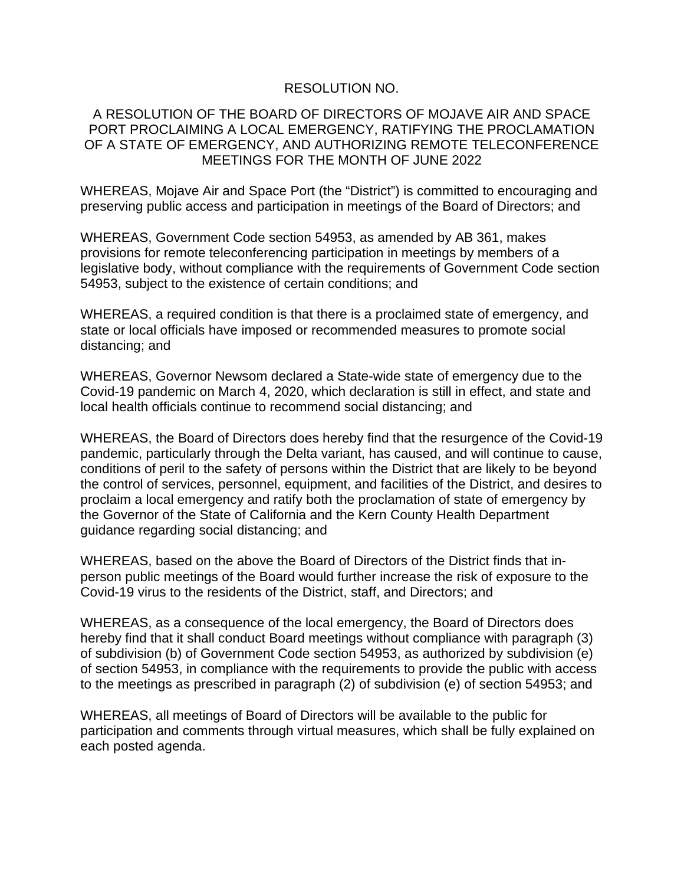### RESOLUTION NO.

### A RESOLUTION OF THE BOARD OF DIRECTORS OF MOJAVE AIR AND SPACE PORT PROCLAIMING A LOCAL EMERGENCY, RATIFYING THE PROCLAMATION OF A STATE OF EMERGENCY, AND AUTHORIZING REMOTE TELECONFERENCE MEETINGS FOR THE MONTH OF JUNE 2022

WHEREAS, Mojave Air and Space Port (the "District") is committed to encouraging and preserving public access and participation in meetings of the Board of Directors; and

WHEREAS, Government Code section 54953, as amended by AB 361, makes provisions for remote teleconferencing participation in meetings by members of a legislative body, without compliance with the requirements of Government Code section 54953, subject to the existence of certain conditions; and

WHEREAS, a required condition is that there is a proclaimed state of emergency, and state or local officials have imposed or recommended measures to promote social distancing; and

WHEREAS, Governor Newsom declared a State-wide state of emergency due to the Covid-19 pandemic on March 4, 2020, which declaration is still in effect, and state and local health officials continue to recommend social distancing; and

WHEREAS, the Board of Directors does hereby find that the resurgence of the Covid-19 pandemic, particularly through the Delta variant, has caused, and will continue to cause, conditions of peril to the safety of persons within the District that are likely to be beyond the control of services, personnel, equipment, and facilities of the District, and desires to proclaim a local emergency and ratify both the proclamation of state of emergency by the Governor of the State of California and the Kern County Health Department guidance regarding social distancing; and

WHEREAS, based on the above the Board of Directors of the District finds that inperson public meetings of the Board would further increase the risk of exposure to the Covid-19 virus to the residents of the District, staff, and Directors; and

WHEREAS, as a consequence of the local emergency, the Board of Directors does hereby find that it shall conduct Board meetings without compliance with paragraph (3) of subdivision (b) of Government Code section 54953, as authorized by subdivision (e) of section 54953, in compliance with the requirements to provide the public with access to the meetings as prescribed in paragraph (2) of subdivision (e) of section 54953; and

WHEREAS, all meetings of Board of Directors will be available to the public for participation and comments through virtual measures, which shall be fully explained on each posted agenda.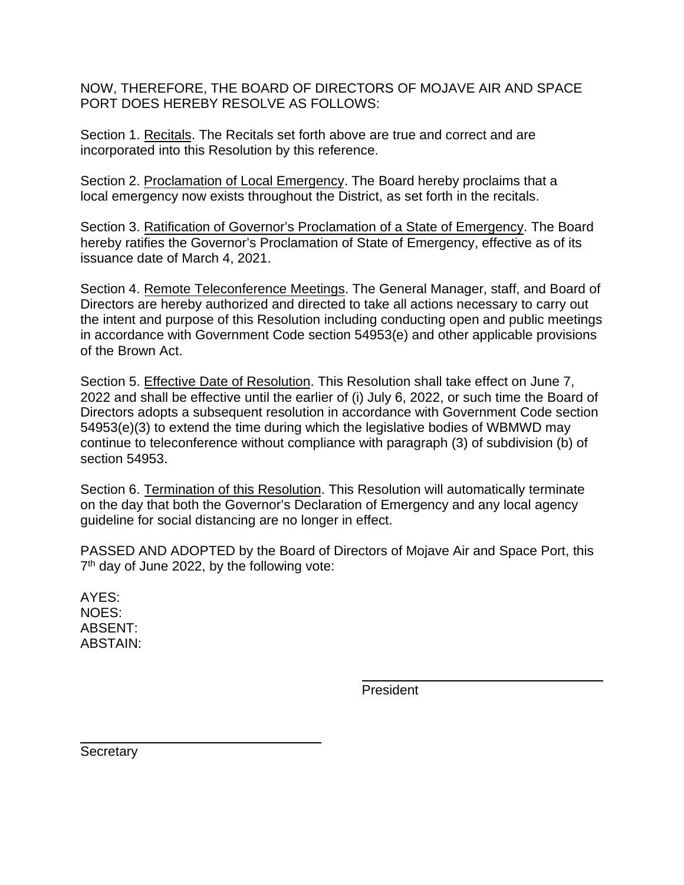NOW, THEREFORE, THE BOARD OF DIRECTORS OF MOJAVE AIR AND SPACE PORT DOES HEREBY RESOLVE AS FOLLOWS:

Section 1. Recitals. The Recitals set forth above are true and correct and are incorporated into this Resolution by this reference.

Section 2. Proclamation of Local Emergency. The Board hereby proclaims that a local emergency now exists throughout the District, as set forth in the recitals.

Section 3. Ratification of Governor's Proclamation of a State of Emergency. The Board hereby ratifies the Governor's Proclamation of State of Emergency, effective as of its issuance date of March 4, 2021.

Section 4. Remote Teleconference Meetings. The General Manager, staff, and Board of Directors are hereby authorized and directed to take all actions necessary to carry out the intent and purpose of this Resolution including conducting open and public meetings in accordance with Government Code section 54953(e) and other applicable provisions of the Brown Act.

Section 5. Effective Date of Resolution. This Resolution shall take effect on June 7, 2022 and shall be effective until the earlier of (i) July 6, 2022, or such time the Board of Directors adopts a subsequent resolution in accordance with Government Code section 54953(e)(3) to extend the time during which the legislative bodies of WBMWD may continue to teleconference without compliance with paragraph (3) of subdivision (b) of section 54953.

Section 6. Termination of this Resolution. This Resolution will automatically terminate on the day that both the Governor's Declaration of Emergency and any local agency guideline for social distancing are no longer in effect.

PASSED AND ADOPTED by the Board of Directors of Mojave Air and Space Port, this 7<sup>th</sup> day of June 2022, by the following vote:

AYES: NOES: ABSENT: ABSTAIN:

President

**Secretary**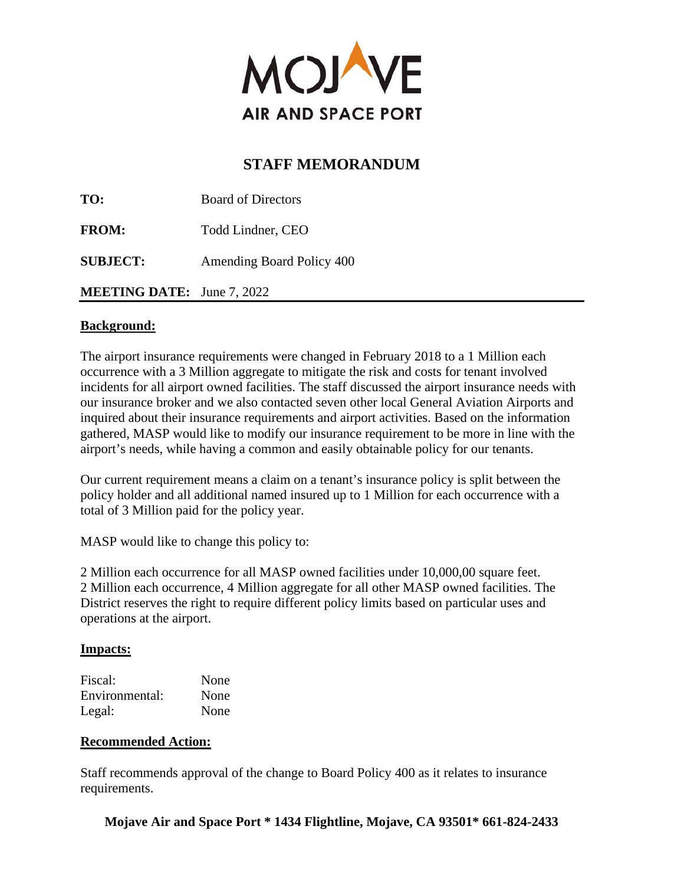

| TO:                               | <b>Board of Directors</b> |
|-----------------------------------|---------------------------|
| <b>FROM:</b>                      | Todd Lindner, CEO         |
| <b>SUBJECT:</b>                   | Amending Board Policy 400 |
| <b>MEETING DATE:</b> June 7, 2022 |                           |

### **Background:**

The airport insurance requirements were changed in February 2018 to a 1 Million each occurrence with a 3 Million aggregate to mitigate the risk and costs for tenant involved incidents for all airport owned facilities. The staff discussed the airport insurance needs with our insurance broker and we also contacted seven other local General Aviation Airports and inquired about their insurance requirements and airport activities. Based on the information gathered, MASP would like to modify our insurance requirement to be more in line with the airport's needs, while having a common and easily obtainable policy for our tenants.

Our current requirement means a claim on a tenant's insurance policy is split between the policy holder and all additional named insured up to 1 Million for each occurrence with a total of 3 Million paid for the policy year.

MASP would like to change this policy to:

2 Million each occurrence for all MASP owned facilities under 10,000,00 square feet. 2 Million each occurrence, 4 Million aggregate for all other MASP owned facilities. The District reserves the right to require different policy limits based on particular uses and operations at the airport.

## **Impacts:**

| Fiscal:        | None |
|----------------|------|
| Environmental: | None |
| Legal:         | None |

## **Recommended Action:**

Staff recommends approval of the change to Board Policy 400 as it relates to insurance requirements.

**Mojave Air and Space Port \* 1434 Flightline, Mojave, CA 93501\* 661-824-2433**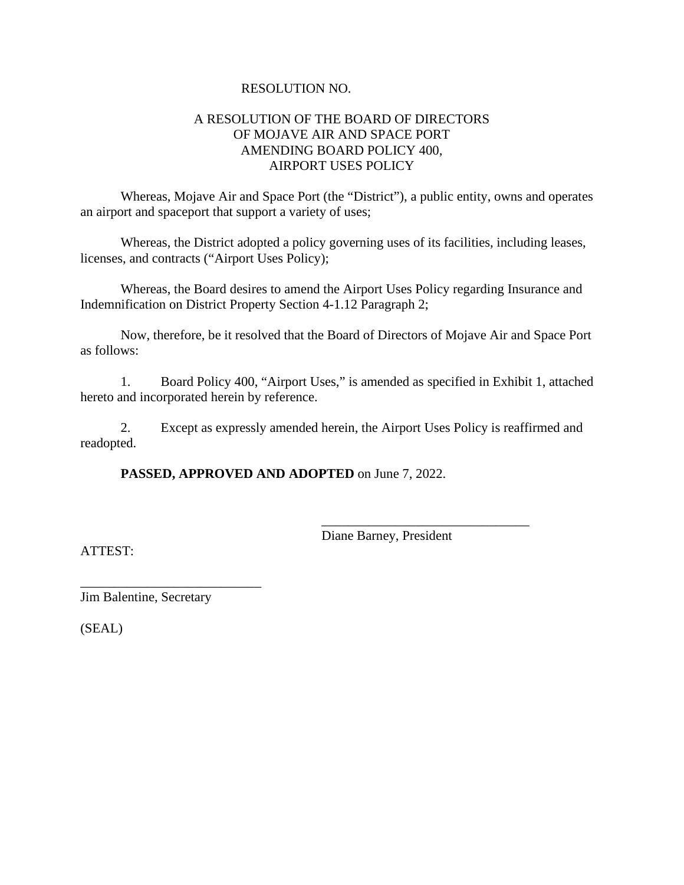#### RESOLUTION NO.

### A RESOLUTION OF THE BOARD OF DIRECTORS OF MOJAVE AIR AND SPACE PORT AMENDING BOARD POLICY 400, AIRPORT USES POLICY

Whereas, Mojave Air and Space Port (the "District"), a public entity, owns and operates an airport and spaceport that support a variety of uses;

Whereas, the District adopted a policy governing uses of its facilities, including leases, licenses, and contracts ("Airport Uses Policy);

Whereas, the Board desires to amend the Airport Uses Policy regarding Insurance and Indemnification on District Property Section 4-1.12 Paragraph 2;

 Now, therefore, be it resolved that the Board of Directors of Mojave Air and Space Port as follows:

1. Board Policy 400, "Airport Uses," is amended as specified in Exhibit 1, attached hereto and incorporated herein by reference.

2. Except as expressly amended herein, the Airport Uses Policy is reaffirmed and readopted.

**PASSED, APPROVED AND ADOPTED** on June 7, 2022.

Diane Barney, President

\_\_\_\_\_\_\_\_\_\_\_\_\_\_\_\_\_\_\_\_\_\_\_\_\_\_\_\_\_\_\_

ATTEST:

\_\_\_\_\_\_\_\_\_\_\_\_\_\_\_\_\_\_\_\_\_\_\_\_\_\_\_ Jim Balentine, Secretary

(SEAL)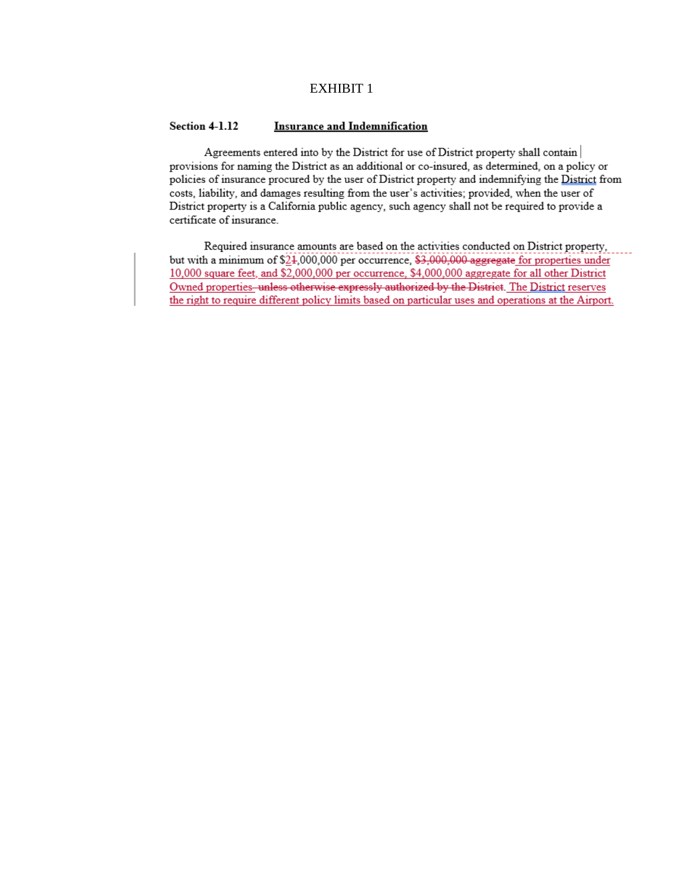#### EXHIBIT 1

#### Section **4-1.12** Insurance and Indemnification

Agreements entered into by the District for use of District property shall contain | provisions for naming the District as an additional or co-insured, as determined, on a policy or policies of insurance procured by the user of District property and indemnifying the District from costs, liability, and damages resulting from the user's activities; provided, when the user of District property is a California public agency, such agency shall not be required to provide a certificate of insurance.

Required insurance amounts are based on the activities conducted on District property, but with a minimum of  $$21,000,000$  per occurrence,  $$3,000,000$  aggregate for properties under 10,000 square feet, and \$2,000,000 per occurrence. \$4,000,000 aggregate for all other District Owned properties-unless otherwise expressly authorized by the District. The District reserves the right to require different policy limits based on particular uses and operations at the Airport.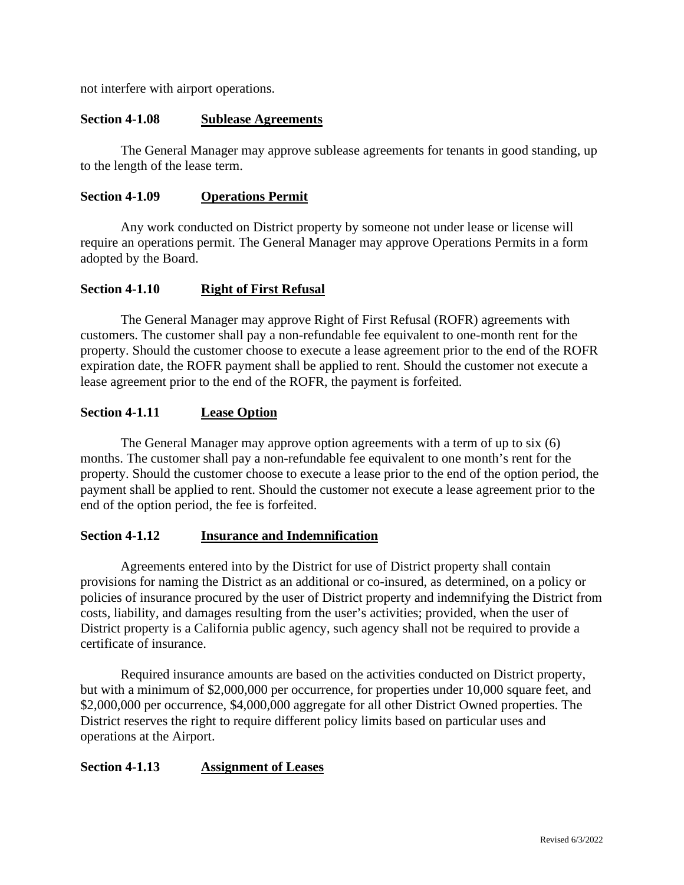not interfere with airport operations.

#### **Section 4-1.08 Sublease Agreements**

 The General Manager may approve sublease agreements for tenants in good standing, up to the length of the lease term.

#### **Section 4-1.09 Operations Permit**

 Any work conducted on District property by someone not under lease or license will require an operations permit. The General Manager may approve Operations Permits in a form adopted by the Board.

#### **Section 4-1.10 Right of First Refusal**

 The General Manager may approve Right of First Refusal (ROFR) agreements with customers. The customer shall pay a non-refundable fee equivalent to one-month rent for the property. Should the customer choose to execute a lease agreement prior to the end of the ROFR expiration date, the ROFR payment shall be applied to rent. Should the customer not execute a lease agreement prior to the end of the ROFR, the payment is forfeited.

#### **Section 4-1.11 Lease Option**

 The General Manager may approve option agreements with a term of up to six (6) months. The customer shall pay a non-refundable fee equivalent to one month's rent for the property. Should the customer choose to execute a lease prior to the end of the option period, the payment shall be applied to rent. Should the customer not execute a lease agreement prior to the end of the option period, the fee is forfeited.

#### **Section 4-1.12 Insurance and Indemnification**

Agreements entered into by the District for use of District property shall contain provisions for naming the District as an additional or co-insured, as determined, on a policy or policies of insurance procured by the user of District property and indemnifying the District from costs, liability, and damages resulting from the user's activities; provided, when the user of District property is a California public agency, such agency shall not be required to provide a certificate of insurance.

Required insurance amounts are based on the activities conducted on District property, but with a minimum of \$2,000,000 per occurrence, for properties under 10,000 square feet, and \$2,000,000 per occurrence, \$4,000,000 aggregate for all other District Owned properties. The District reserves the right to require different policy limits based on particular uses and operations at the Airport.

#### **Section 4-1.13 Assignment of Leases**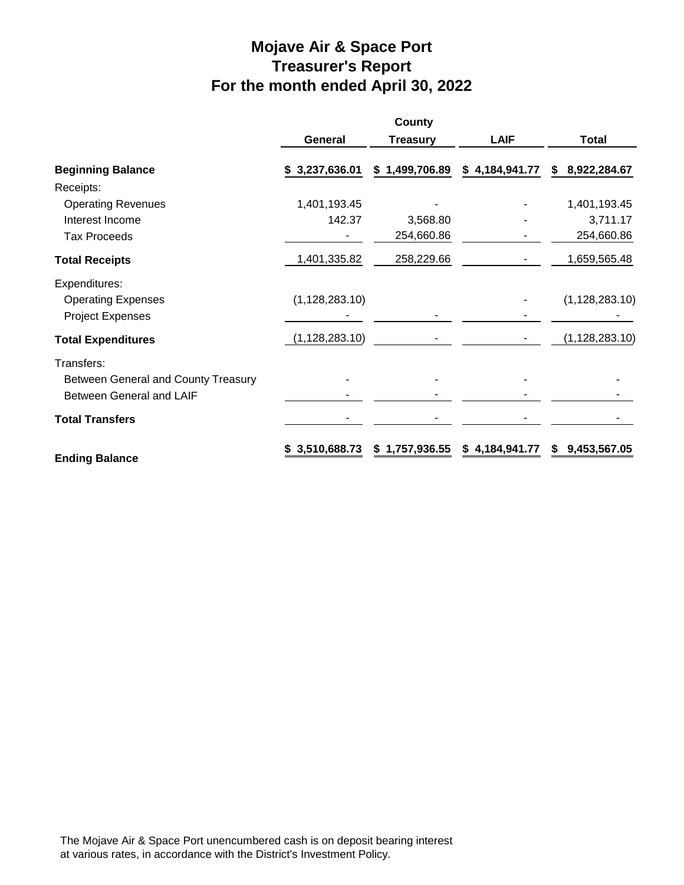# **Mojave Air & Space Port Treasurer's Report For the month ended April 30, 2022**

|                                     |                  | County          |                |                    |
|-------------------------------------|------------------|-----------------|----------------|--------------------|
|                                     | General          | <b>Treasury</b> | <b>LAIF</b>    | <b>Total</b>       |
| <b>Beginning Balance</b>            | \$3,237,636.01   | \$1,499,706.89  | \$4,184,941.77 | 8,922,284.67<br>S. |
| Receipts:                           |                  |                 |                |                    |
| <b>Operating Revenues</b>           | 1,401,193.45     |                 |                | 1,401,193.45       |
| Interest Income                     | 142.37           | 3,568.80        |                | 3,711.17           |
| <b>Tax Proceeds</b>                 |                  | 254,660.86      |                | 254,660.86         |
| <b>Total Receipts</b>               | 1,401,335.82     | 258,229.66      |                | 1,659,565.48       |
| Expenditures:                       |                  |                 |                |                    |
| <b>Operating Expenses</b>           | (1, 128, 283.10) |                 |                | (1, 128, 283.10)   |
| <b>Project Expenses</b>             |                  |                 |                |                    |
| <b>Total Expenditures</b>           | (1, 128, 283.10) |                 |                | (1, 128, 283.10)   |
| Transfers:                          |                  |                 |                |                    |
| Between General and County Treasury |                  |                 |                |                    |
| <b>Between General and LAIF</b>     |                  |                 |                |                    |
| <b>Total Transfers</b>              |                  |                 |                |                    |
| <b>Ending Balance</b>               | \$3,510,688.73   | \$1,757,936.55  | \$4,184,941.77 | 9,453,567.05<br>S  |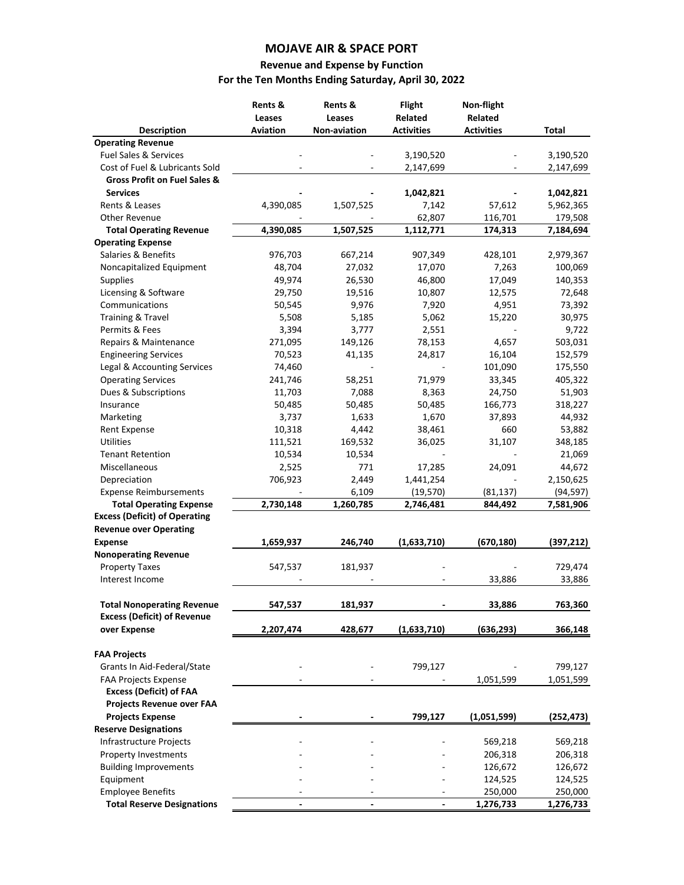#### **MOJAVE AIR & SPACE PORT**

# **Revenue and Expense by Function**

# **For the Ten Months Ending Saturday, April 30, 2022**

|                                                                         | Rents &<br>Leases<br>Aviation | Rents &<br>Leases<br>Non-aviation | <b>Flight</b><br>Related<br><b>Activities</b> | Non-flight<br>Related<br><b>Activities</b> | <b>Total</b> |
|-------------------------------------------------------------------------|-------------------------------|-----------------------------------|-----------------------------------------------|--------------------------------------------|--------------|
| <b>Description</b><br><b>Operating Revenue</b>                          |                               |                                   |                                               |                                            |              |
| Fuel Sales & Services                                                   |                               |                                   | 3,190,520                                     |                                            | 3,190,520    |
| Cost of Fuel & Lubricants Sold                                          |                               |                                   | 2,147,699                                     |                                            | 2,147,699    |
| <b>Gross Profit on Fuel Sales &amp;</b>                                 |                               |                                   |                                               |                                            |              |
| <b>Services</b>                                                         |                               |                                   | 1,042,821                                     |                                            | 1,042,821    |
| Rents & Leases                                                          | 4,390,085                     | 1,507,525                         | 7,142                                         | 57,612                                     | 5,962,365    |
| <b>Other Revenue</b>                                                    |                               |                                   | 62,807                                        | 116,701                                    | 179,508      |
| <b>Total Operating Revenue</b>                                          | 4,390,085                     | 1,507,525                         | 1,112,771                                     | 174,313                                    | 7,184,694    |
| <b>Operating Expense</b>                                                |                               |                                   |                                               |                                            |              |
| Salaries & Benefits                                                     | 976,703                       | 667,214                           | 907,349                                       | 428,101                                    | 2,979,367    |
| Noncapitalized Equipment                                                | 48,704                        | 27,032                            | 17,070                                        | 7,263                                      | 100,069      |
| Supplies                                                                | 49,974                        | 26,530                            | 46,800                                        | 17,049                                     | 140,353      |
| Licensing & Software                                                    | 29,750                        | 19,516                            | 10,807                                        | 12,575                                     | 72,648       |
| Communications                                                          | 50,545                        | 9,976                             | 7,920                                         | 4,951                                      | 73,392       |
| Training & Travel                                                       | 5,508                         | 5,185                             | 5,062                                         | 15,220                                     | 30,975       |
| Permits & Fees                                                          | 3,394                         | 3,777                             | 2,551                                         |                                            | 9,722        |
| Repairs & Maintenance                                                   | 271,095                       | 149,126                           | 78,153                                        | 4,657                                      | 503,031      |
| <b>Engineering Services</b>                                             | 70,523                        | 41,135                            | 24,817                                        | 16,104                                     | 152,579      |
| Legal & Accounting Services                                             | 74,460                        |                                   |                                               | 101,090                                    | 175,550      |
| <b>Operating Services</b>                                               | 241,746                       | 58,251                            | 71,979                                        | 33,345                                     | 405,322      |
| Dues & Subscriptions                                                    | 11,703                        | 7,088                             | 8,363                                         | 24,750                                     | 51,903       |
| Insurance                                                               | 50,485                        | 50,485                            | 50,485                                        | 166,773                                    | 318,227      |
| Marketing                                                               | 3,737                         | 1,633                             | 1,670                                         | 37,893                                     | 44,932       |
| Rent Expense                                                            | 10,318                        | 4,442                             | 38,461                                        | 660                                        | 53,882       |
| <b>Utilities</b>                                                        | 111,521                       | 169,532                           | 36,025                                        | 31,107                                     | 348,185      |
| <b>Tenant Retention</b>                                                 | 10,534                        | 10,534                            |                                               |                                            | 21,069       |
| Miscellaneous                                                           | 2,525                         | 771                               | 17,285                                        | 24,091                                     | 44,672       |
| Depreciation                                                            | 706,923                       | 2,449                             | 1,441,254                                     |                                            | 2,150,625    |
| <b>Expense Reimbursements</b>                                           |                               | 6,109                             | (19, 570)                                     | (81, 137)                                  | (94, 597)    |
| <b>Total Operating Expense</b>                                          | 2,730,148                     | 1,260,785                         | 2,746,481                                     | 844,492                                    | 7,581,906    |
| <b>Excess (Deficit) of Operating</b>                                    |                               |                                   |                                               |                                            |              |
| <b>Revenue over Operating</b>                                           |                               |                                   |                                               |                                            |              |
| <b>Expense</b>                                                          | 1,659,937                     | 246,740                           | (1,633,710)                                   | (670, 180)                                 | (397, 212)   |
| <b>Nonoperating Revenue</b>                                             |                               |                                   |                                               |                                            |              |
| <b>Property Taxes</b>                                                   | 547,537                       | 181,937                           |                                               |                                            | 729,474      |
| Interest Income                                                         |                               |                                   |                                               | 33,886                                     | 33,886       |
| <b>Total Nonoperating Revenue</b><br><b>Excess (Deficit) of Revenue</b> | 547,537                       | 181,937                           |                                               | 33,886                                     | 763,360      |
| over Expense                                                            | 2,207,474                     | 428,677                           | (1,633,710)                                   | (636, 293)                                 | 366,148      |
| <b>FAA Projects</b>                                                     |                               |                                   |                                               |                                            |              |
| Grants In Aid-Federal/State                                             |                               |                                   | 799,127                                       |                                            | 799,127      |
| <b>FAA Projects Expense</b>                                             |                               |                                   |                                               | 1,051,599                                  | 1,051,599    |
| <b>Excess (Deficit) of FAA</b>                                          |                               |                                   |                                               |                                            |              |
| <b>Projects Revenue over FAA</b>                                        |                               |                                   |                                               |                                            |              |
| <b>Projects Expense</b>                                                 |                               |                                   | 799,127                                       | (1,051,599)                                | (252,473)    |
| <b>Reserve Designations</b>                                             |                               |                                   |                                               |                                            |              |
| Infrastructure Projects                                                 |                               |                                   |                                               | 569,218                                    | 569,218      |
| Property Investments                                                    |                               |                                   |                                               | 206,318                                    | 206,318      |
| <b>Building Improvements</b>                                            |                               |                                   |                                               | 126,672                                    | 126,672      |
| Equipment                                                               |                               |                                   |                                               | 124,525                                    | 124,525      |
| <b>Employee Benefits</b>                                                |                               |                                   |                                               | 250,000                                    | 250,000      |
| <b>Total Reserve Designations</b>                                       |                               | $\overline{a}$                    |                                               | 1,276,733                                  | 1,276,733    |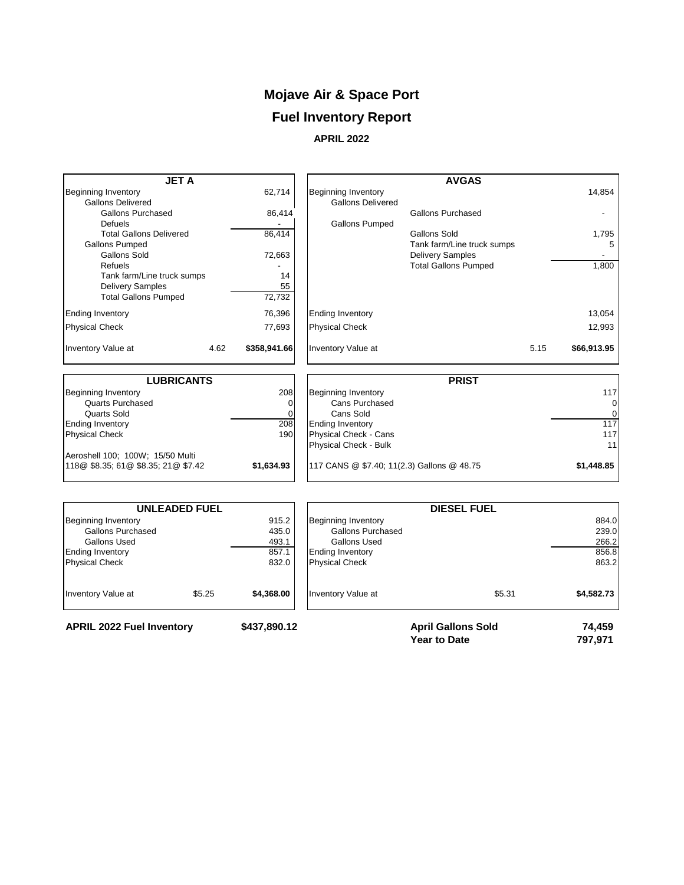# **Mojave Air & Space Port**

# **Fuel Inventory Report**

**APRIL 2022**

| <b>Beginning Inventory</b><br><b>Gallons Delivered</b><br>86,414<br><b>Gallons Pumped</b><br><b>Ending Inventory</b><br><b>Physical Check</b> | <b>Gallons Purchased</b><br>Gallons Sold<br>Tank farm/Line truck sumps<br><b>Delivery Samples</b><br><b>Total Gallons Pumped</b>                                        |                                            | 14,854<br>1,795<br>5<br>1,800<br>13,054<br>12,993 |
|-----------------------------------------------------------------------------------------------------------------------------------------------|-------------------------------------------------------------------------------------------------------------------------------------------------------------------------|--------------------------------------------|---------------------------------------------------|
|                                                                                                                                               |                                                                                                                                                                         |                                            |                                                   |
|                                                                                                                                               |                                                                                                                                                                         |                                            |                                                   |
|                                                                                                                                               |                                                                                                                                                                         |                                            |                                                   |
|                                                                                                                                               |                                                                                                                                                                         |                                            |                                                   |
|                                                                                                                                               |                                                                                                                                                                         |                                            |                                                   |
|                                                                                                                                               |                                                                                                                                                                         |                                            |                                                   |
|                                                                                                                                               |                                                                                                                                                                         |                                            |                                                   |
|                                                                                                                                               |                                                                                                                                                                         |                                            |                                                   |
|                                                                                                                                               |                                                                                                                                                                         |                                            |                                                   |
|                                                                                                                                               |                                                                                                                                                                         |                                            |                                                   |
|                                                                                                                                               |                                                                                                                                                                         |                                            |                                                   |
|                                                                                                                                               |                                                                                                                                                                         |                                            |                                                   |
|                                                                                                                                               |                                                                                                                                                                         |                                            |                                                   |
| \$358,941.66<br><b>Inventory Value at</b>                                                                                                     |                                                                                                                                                                         | 5.15                                       | \$66,913.95                                       |
|                                                                                                                                               | <b>PRIST</b>                                                                                                                                                            |                                            |                                                   |
|                                                                                                                                               |                                                                                                                                                                         |                                            | 117                                               |
|                                                                                                                                               |                                                                                                                                                                         |                                            | 0                                                 |
|                                                                                                                                               |                                                                                                                                                                         |                                            | 0                                                 |
|                                                                                                                                               |                                                                                                                                                                         |                                            | 117                                               |
|                                                                                                                                               |                                                                                                                                                                         |                                            | 117                                               |
|                                                                                                                                               |                                                                                                                                                                         |                                            | 11                                                |
|                                                                                                                                               |                                                                                                                                                                         |                                            |                                                   |
|                                                                                                                                               |                                                                                                                                                                         |                                            | \$1,448.85                                        |
| \$1,634.93                                                                                                                                    | 208<br><b>Beginning Inventory</b><br>Cans Purchased<br>$\Omega$<br>Cans Sold<br>208<br><b>Ending Inventory</b><br>190<br>Physical Check - Cans<br>Physical Check - Bulk | 117 CANS @ \$7.40; 11(2.3) Gallons @ 48.75 |                                                   |

|                                  | <b>UNLEADED FUEL</b> |              |                            |                                                  |                   |
|----------------------------------|----------------------|--------------|----------------------------|--------------------------------------------------|-------------------|
| Beginning Inventory              |                      | 915.2        | <b>Beginning Inventory</b> |                                                  | 884.0             |
| Gallons Purchased                |                      | 435.0        | Gallons Purchased          |                                                  | 239.0             |
| <b>Gallons Used</b>              |                      | 493.1        | Gallons Used               |                                                  | 266.2             |
| <b>Ending Inventory</b>          |                      | 857.1        | <b>Ending Inventory</b>    |                                                  | 856.8             |
| <b>Physical Check</b>            |                      | 832.0        | <b>Physical Check</b>      |                                                  | 863.2             |
| Inventory Value at               | \$5.25               | \$4,368.00   | Inventory Value at         | \$5.31                                           | \$4,582.73        |
| <b>APRIL 2022 Fuel Inventory</b> |                      | \$437,890.12 |                            | <b>April Gallons Sold</b><br><b>Year to Date</b> | 74.459<br>797.971 |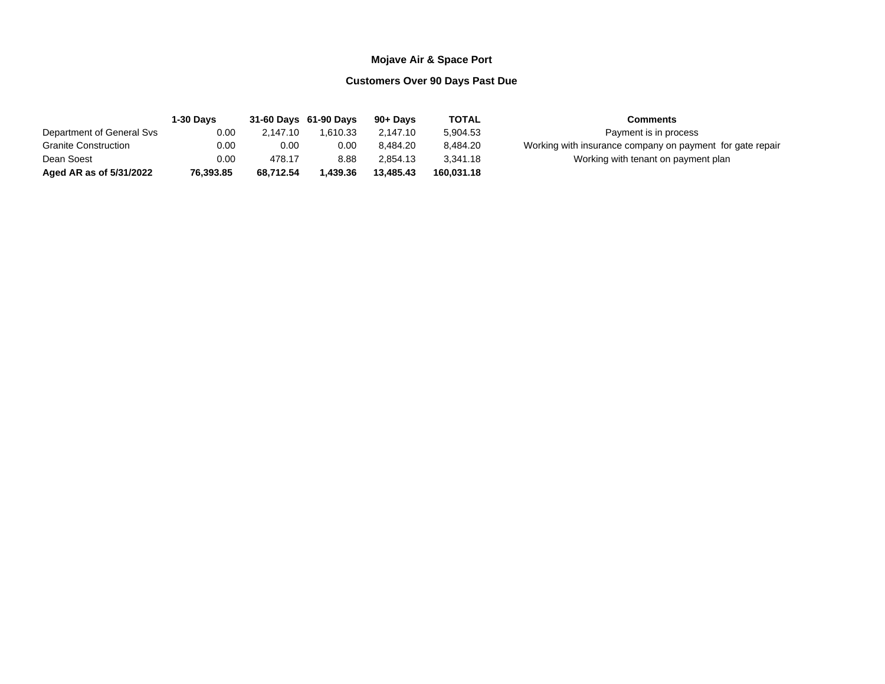#### **Mojave Air & Space Port**

#### **Customers Over 90 Days Past Due**

|                             | <b>1-30 Davs</b> |           | 31-60 Days 61-90 Days | 90+ Davs  | <b>TOTAL</b> | <b>Comments</b>                                           |
|-----------------------------|------------------|-----------|-----------------------|-----------|--------------|-----------------------------------------------------------|
| Department of General Svs   | 0.00             | 2.147.10  | 1.610.33              | 2.147.10  | 5.904.53     | Payment is in process                                     |
| <b>Granite Construction</b> | 0.00             | 0.00      | 0.00                  | 8.484.20  | 8.484.20     | Working with insurance company on payment for gate repair |
| Dean Soest                  | 0.00             | 478.17    | 8.88                  | 2.854.13  | 3.341.18     | Working with tenant on payment plan                       |
| Aged AR as of 5/31/2022     | 76.393.85        | 68.712.54 | .439.36               | 13.485.43 | 160.031.18   |                                                           |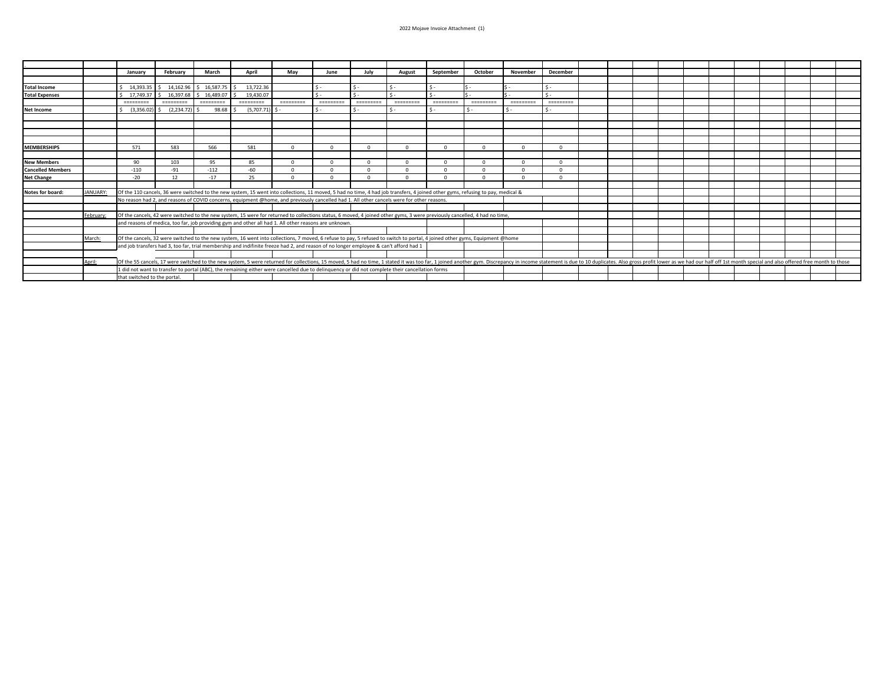|                          |           | January    | February                     | March            | April                                                                                                                                                                                                                         | May       | June             | July            | August    | September      | October                                                                                                                                                                                                                                                                                                                                                                                                                                                                        | November  | December             |  |  |  |  |  |  |
|--------------------------|-----------|------------|------------------------------|------------------|-------------------------------------------------------------------------------------------------------------------------------------------------------------------------------------------------------------------------------|-----------|------------------|-----------------|-----------|----------------|--------------------------------------------------------------------------------------------------------------------------------------------------------------------------------------------------------------------------------------------------------------------------------------------------------------------------------------------------------------------------------------------------------------------------------------------------------------------------------|-----------|----------------------|--|--|--|--|--|--|
|                          |           |            |                              |                  |                                                                                                                                                                                                                               |           |                  |                 |           |                |                                                                                                                                                                                                                                                                                                                                                                                                                                                                                |           |                      |  |  |  |  |  |  |
| <b>Total Income</b>      |           |            | 14.393.35   \$ 14.162.96     | $$16,587.75$ \$  | 13.722.36                                                                                                                                                                                                                     |           | $\mathsf{S}$ -   | $\mathsf{S}$ -  | $\sim$    | $\mathsf{S}$ - |                                                                                                                                                                                                                                                                                                                                                                                                                                                                                |           | $\mathsf{\hat{S}}$ - |  |  |  |  |  |  |
| <b>Total Expenses</b>    |           | 17.749.37  | 16.397.68<br>I <             | \$16,489.07      | 19.430.07                                                                                                                                                                                                                     |           |                  | $\zeta$ .       |           | $\mathsf{S}$ . |                                                                                                                                                                                                                                                                                                                                                                                                                                                                                |           | $\zeta$ .            |  |  |  |  |  |  |
|                          |           | =========  | =========                    | <b>CONSIGNER</b> | =========                                                                                                                                                                                                                     | 222222222 | <b>CONSIGNER</b> | <b>BEREERED</b> | ========= | ==========     | $\begin{array}{cccccccccc} \multicolumn{2}{c}{{\color{red}x}} & \multicolumn{2}{c}{{\color{red}x}} & \multicolumn{2}{c}{{\color{red}x}} & \multicolumn{2}{c}{{\color{red}x}} & \multicolumn{2}{c}{{\color{red}x}} & \multicolumn{2}{c}{{\color{red}x}} & \multicolumn{2}{c}{{\color{red}x}} & \multicolumn{2}{c}{{\color{red}x}} & \multicolumn{2}{c}{{\color{red}x}} & \multicolumn{2}{c}{{\color{red}x}} & \multicolumn{2}{c}{{\color{red}x}} & \multicolumn{2}{c}{{\color{$ | ========= | =========            |  |  |  |  |  |  |
| <b>Net Income</b>        |           | (3,356.02) | $\frac{1}{2}$ (2.234.72)     | 98.68            | $(5,707.71)$ \$                                                                                                                                                                                                               |           | $\mathsf{S}$ -   |                 |           | $\mathsf{S}$ - |                                                                                                                                                                                                                                                                                                                                                                                                                                                                                |           |                      |  |  |  |  |  |  |
|                          |           |            |                              |                  |                                                                                                                                                                                                                               |           |                  |                 |           |                |                                                                                                                                                                                                                                                                                                                                                                                                                                                                                |           |                      |  |  |  |  |  |  |
|                          |           |            |                              |                  |                                                                                                                                                                                                                               |           |                  |                 |           |                |                                                                                                                                                                                                                                                                                                                                                                                                                                                                                |           |                      |  |  |  |  |  |  |
|                          |           |            |                              |                  |                                                                                                                                                                                                                               |           |                  |                 |           |                |                                                                                                                                                                                                                                                                                                                                                                                                                                                                                |           |                      |  |  |  |  |  |  |
|                          |           |            |                              |                  |                                                                                                                                                                                                                               |           |                  |                 |           |                |                                                                                                                                                                                                                                                                                                                                                                                                                                                                                |           |                      |  |  |  |  |  |  |
| <b>MEMBERSHIPS</b>       |           | 571        | 583                          | 566              | 581                                                                                                                                                                                                                           | $\Omega$  |                  | $\Omega$        | $\Omega$  | $\Omega$       | $\Omega$                                                                                                                                                                                                                                                                                                                                                                                                                                                                       | $\Omega$  | $\Omega$             |  |  |  |  |  |  |
|                          |           |            |                              |                  |                                                                                                                                                                                                                               |           |                  |                 |           |                |                                                                                                                                                                                                                                                                                                                                                                                                                                                                                |           |                      |  |  |  |  |  |  |
| <b>New Members</b>       |           | 90         | 103                          | 95               | 85                                                                                                                                                                                                                            | $\Omega$  |                  | $\Omega$        | $\Omega$  |                |                                                                                                                                                                                                                                                                                                                                                                                                                                                                                | $\Omega$  | $\Omega$             |  |  |  |  |  |  |
| <b>Cancelled Members</b> |           | $-110$     | $-91$                        | $-112$           | $-60$                                                                                                                                                                                                                         |           |                  | $\Omega$        | $\Omega$  |                |                                                                                                                                                                                                                                                                                                                                                                                                                                                                                | $\Omega$  | $\Omega$             |  |  |  |  |  |  |
| <b>Net Change</b>        |           | $-20$      | 12                           | $-17$            | 25                                                                                                                                                                                                                            | $\Omega$  |                  | $\Omega$        |           |                |                                                                                                                                                                                                                                                                                                                                                                                                                                                                                | $\Omega$  | $\Omega$             |  |  |  |  |  |  |
|                          |           |            |                              |                  |                                                                                                                                                                                                                               |           |                  |                 |           |                |                                                                                                                                                                                                                                                                                                                                                                                                                                                                                |           |                      |  |  |  |  |  |  |
| Notes for board:         | JANUARY:  |            |                              |                  | Of the 110 cancels, 36 were switched to the new system, 15 went into collections, 11 moved, 5 had no time, 4 had job transfers, 4 joined other gyms, refusing to pay, medical &                                               |           |                  |                 |           |                |                                                                                                                                                                                                                                                                                                                                                                                                                                                                                |           |                      |  |  |  |  |  |  |
|                          |           |            |                              |                  | No reason had 2, and reasons of COVID concerns, equipment @home, and previously cancelled had 1. All other cancels were for other reasons.                                                                                    |           |                  |                 |           |                |                                                                                                                                                                                                                                                                                                                                                                                                                                                                                |           |                      |  |  |  |  |  |  |
|                          |           |            |                              |                  |                                                                                                                                                                                                                               |           |                  |                 |           |                |                                                                                                                                                                                                                                                                                                                                                                                                                                                                                |           |                      |  |  |  |  |  |  |
|                          | February: |            |                              |                  | Of the cancels, 42 were switched to the new system, 15 were for returned to collections status, 6 moved, 4 joined other gyms, 3 were previously cancelled, 4 had no time,                                                     |           |                  |                 |           |                |                                                                                                                                                                                                                                                                                                                                                                                                                                                                                |           |                      |  |  |  |  |  |  |
|                          |           |            |                              |                  | and reasons of medica, too far, job providing gym and other all had 1. All other reasons are unknown.                                                                                                                         |           |                  |                 |           |                |                                                                                                                                                                                                                                                                                                                                                                                                                                                                                |           |                      |  |  |  |  |  |  |
|                          |           |            |                              |                  |                                                                                                                                                                                                                               |           |                  |                 |           |                |                                                                                                                                                                                                                                                                                                                                                                                                                                                                                |           |                      |  |  |  |  |  |  |
|                          | March:    |            |                              |                  | Of the cancels, 32 were switched to the new system, 16 went into collections, 7 moved, 6 refuse to pay, 5 refused to switch to portal, 4 joined other gyms, Equipment @home                                                   |           |                  |                 |           |                |                                                                                                                                                                                                                                                                                                                                                                                                                                                                                |           |                      |  |  |  |  |  |  |
|                          |           |            |                              |                  | and job transfers had 3, too far, trial membership and indifinite freeze had 2, and reason of no longer employee & can't afford had 1                                                                                         |           |                  |                 |           |                |                                                                                                                                                                                                                                                                                                                                                                                                                                                                                |           |                      |  |  |  |  |  |  |
|                          |           |            |                              |                  |                                                                                                                                                                                                                               |           |                  |                 |           |                |                                                                                                                                                                                                                                                                                                                                                                                                                                                                                |           |                      |  |  |  |  |  |  |
|                          | April:    |            |                              |                  | Of the 55 cancels, 17 were switched to the new system, 5 were returned for collections, 15 moved, 5 had no time, 1 stated it was too far, 1 joined another gym. Discrepancy in income statement is due to 10 duplicates. Also |           |                  |                 |           |                |                                                                                                                                                                                                                                                                                                                                                                                                                                                                                |           |                      |  |  |  |  |  |  |
|                          |           |            |                              |                  | 1 did not want to transfer to portal (ABC), the remaining either were cancelled due to delinguency or did not complete their cancellation forms                                                                               |           |                  |                 |           |                |                                                                                                                                                                                                                                                                                                                                                                                                                                                                                |           |                      |  |  |  |  |  |  |
|                          |           |            |                              |                  |                                                                                                                                                                                                                               |           |                  |                 |           |                |                                                                                                                                                                                                                                                                                                                                                                                                                                                                                |           |                      |  |  |  |  |  |  |
|                          |           |            | that switched to the portal. |                  |                                                                                                                                                                                                                               |           |                  |                 |           |                |                                                                                                                                                                                                                                                                                                                                                                                                                                                                                |           |                      |  |  |  |  |  |  |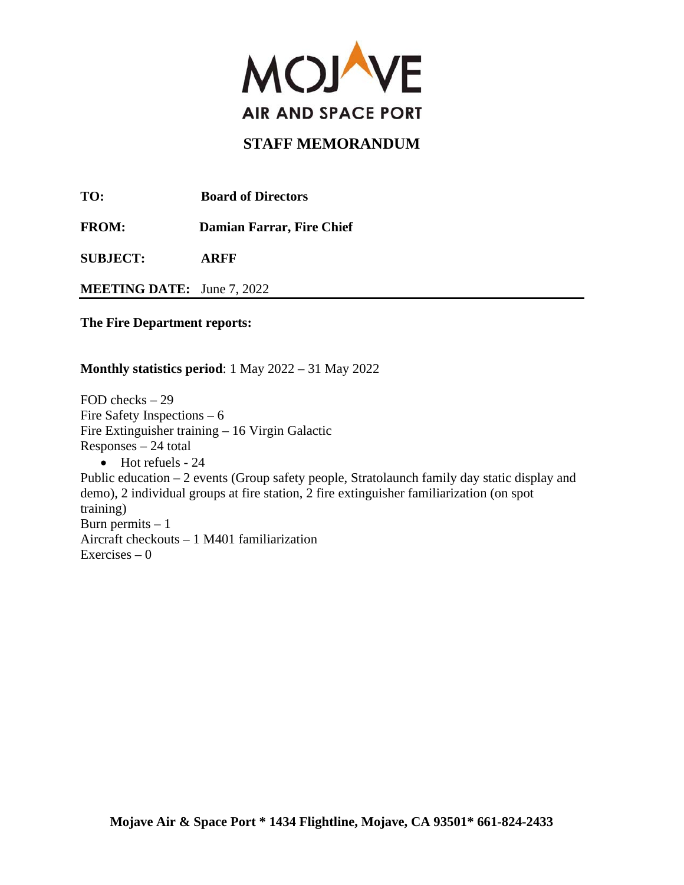

**TO: Board of Directors** 

**FROM: Damian Farrar, Fire Chief** 

**SUBJECT: ARFF**

**MEETING DATE:** June 7, 2022

**The Fire Department reports:**

#### **Monthly statistics period**: 1 May 2022 – 31 May 2022

FOD checks – 29 Fire Safety Inspections – 6 Fire Extinguisher training – 16 Virgin Galactic Responses – 24 total • Hot refuels - 24 Public education – 2 events (Group safety people, Stratolaunch family day static display and demo), 2 individual groups at fire station, 2 fire extinguisher familiarization (on spot training) Burn permits  $-1$ Aircraft checkouts – 1 M401 familiarization Exercises  $-0$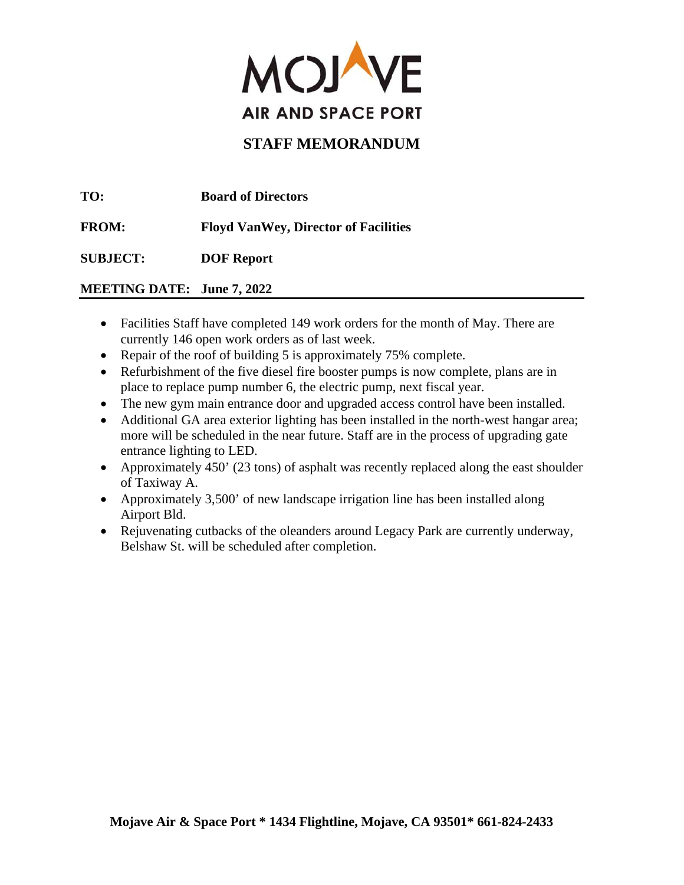

**TO: Board of Directors** 

**FROM: Floyd VanWey, Director of Facilities** 

**SUBJECT: DOF Report** 

# **MEETING DATE: June 7, 2022**

- Facilities Staff have completed 149 work orders for the month of May. There are currently 146 open work orders as of last week.
- Repair of the roof of building 5 is approximately 75% complete.
- Refurbishment of the five diesel fire booster pumps is now complete, plans are in place to replace pump number 6, the electric pump, next fiscal year.
- The new gym main entrance door and upgraded access control have been installed.
- Additional GA area exterior lighting has been installed in the north-west hangar area; more will be scheduled in the near future. Staff are in the process of upgrading gate entrance lighting to LED.
- Approximately 450' (23 tons) of asphalt was recently replaced along the east shoulder of Taxiway A.
- Approximately 3,500' of new landscape irrigation line has been installed along Airport Bld.
- Rejuvenating cutbacks of the oleanders around Legacy Park are currently underway, Belshaw St. will be scheduled after completion.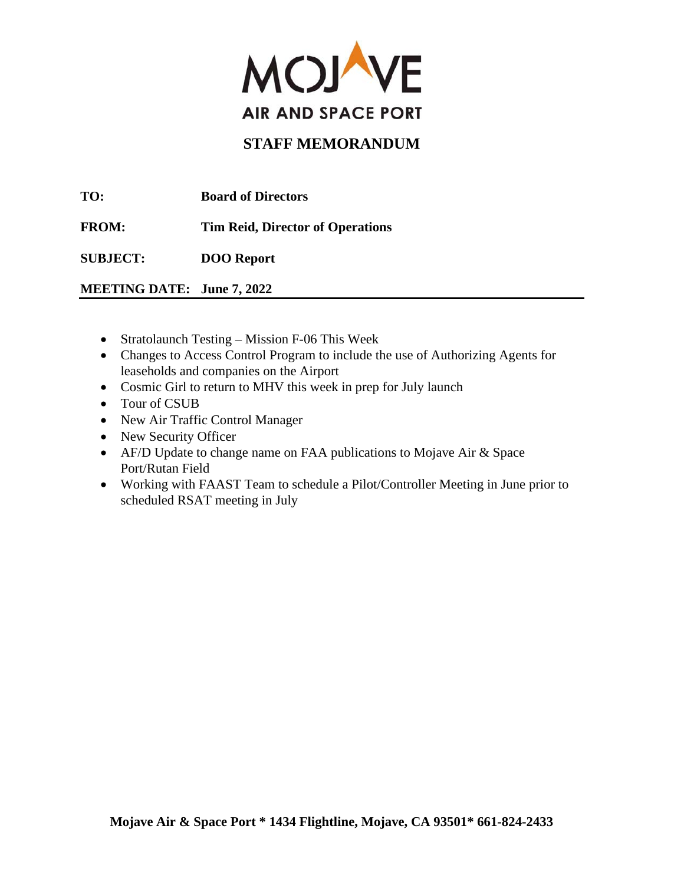

**TO: Board of Directors** 

**FROM: Tim Reid, Director of Operations** 

**SUBJECT: DOO Report**

**MEETING DATE: June 7, 2022**

- Stratolaunch Testing Mission F-06 This Week
- Changes to Access Control Program to include the use of Authorizing Agents for leaseholds and companies on the Airport
- Cosmic Girl to return to MHV this week in prep for July launch
- Tour of CSUB
- New Air Traffic Control Manager
- New Security Officer
- AF/D Update to change name on FAA publications to Mojave Air & Space Port/Rutan Field
- Working with FAAST Team to schedule a Pilot/Controller Meeting in June prior to scheduled RSAT meeting in July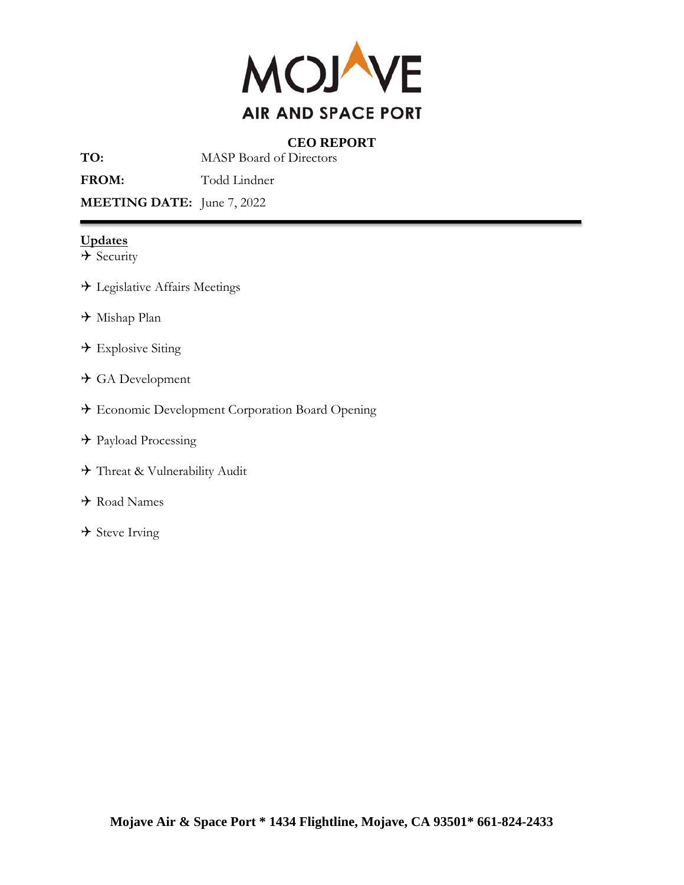

## **CEO REPORT**

**TO:** MASP Board of Directors

FROM: Todd Lindner

**MEETING DATE:** June 7, 2022

#### **Updates**

- $\rightarrow$  Security
- Legislative Affairs Meetings
- Mishap Plan
- $\rightarrow$  Explosive Siting
- GA Development
- Economic Development Corporation Board Opening
- → Payload Processing
- Threat & Vulnerability Audit
- Road Names
- $\rightarrow$  Steve Irving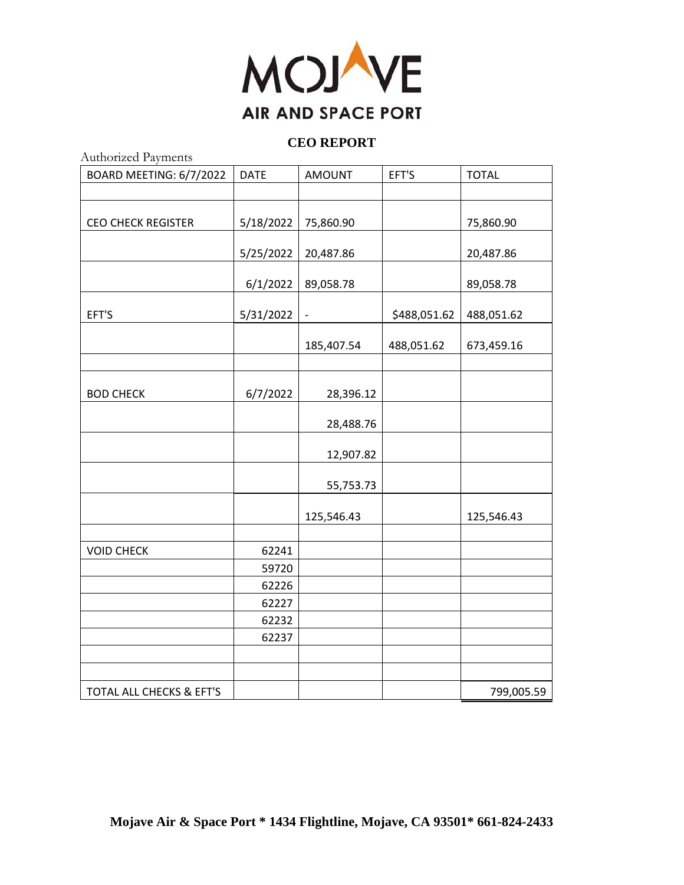

#### **CEO REPORT**

| Authorized Payments       |             |                          |              |              |  |  |
|---------------------------|-------------|--------------------------|--------------|--------------|--|--|
| BOARD MEETING: 6/7/2022   | <b>DATE</b> | <b>AMOUNT</b>            | EFT'S        | <b>TOTAL</b> |  |  |
|                           |             |                          |              |              |  |  |
|                           |             |                          |              |              |  |  |
| <b>CEO CHECK REGISTER</b> | 5/18/2022   | 75,860.90                |              | 75,860.90    |  |  |
|                           |             |                          |              |              |  |  |
|                           | 5/25/2022   | 20,487.86                |              | 20,487.86    |  |  |
|                           |             |                          |              |              |  |  |
|                           | 6/1/2022    | 89,058.78                |              | 89,058.78    |  |  |
|                           |             |                          |              |              |  |  |
| EFT'S                     | 5/31/2022   | $\overline{\phantom{a}}$ | \$488,051.62 | 488,051.62   |  |  |
|                           |             | 185,407.54               | 488,051.62   | 673,459.16   |  |  |
|                           |             |                          |              |              |  |  |
|                           |             |                          |              |              |  |  |
| <b>BOD CHECK</b>          | 6/7/2022    | 28,396.12                |              |              |  |  |
|                           |             |                          |              |              |  |  |
|                           |             | 28,488.76                |              |              |  |  |
|                           |             | 12,907.82                |              |              |  |  |
|                           |             |                          |              |              |  |  |
|                           |             | 55,753.73                |              |              |  |  |
|                           |             | 125,546.43               |              | 125,546.43   |  |  |
|                           |             |                          |              |              |  |  |
| <b>VOID CHECK</b>         | 62241       |                          |              |              |  |  |
|                           | 59720       |                          |              |              |  |  |
|                           | 62226       |                          |              |              |  |  |
|                           | 62227       |                          |              |              |  |  |
|                           | 62232       |                          |              |              |  |  |
|                           | 62237       |                          |              |              |  |  |
|                           |             |                          |              |              |  |  |
|                           |             |                          |              |              |  |  |
| TOTAL ALL CHECKS & EFT'S  |             |                          |              | 799,005.59   |  |  |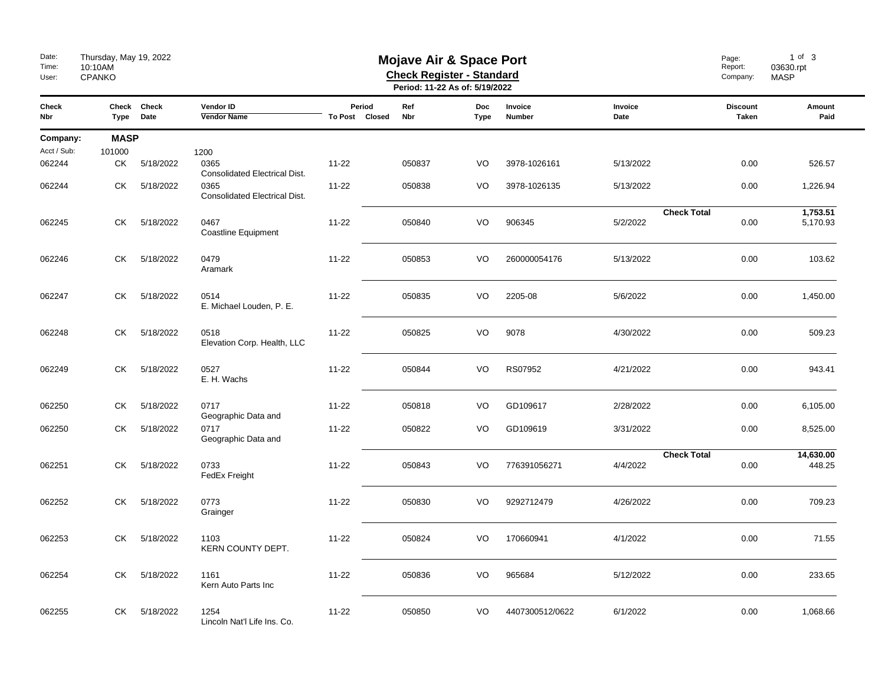| Date:<br>Time:<br>User: | Thursday, May 19, 2022<br><b>Mojave Air &amp; Space Port</b><br>10:10AM<br><b>Check Register - Standard</b><br>CPANKO<br>Period: 11-22 As of: 5/19/2022 |                     |                                              |                          |            |                           |                   |                                | Page:<br>Report:<br>Company:    | 1 of 3<br>03630.rpt<br><b>MASP</b> |  |
|-------------------------|---------------------------------------------------------------------------------------------------------------------------------------------------------|---------------------|----------------------------------------------|--------------------------|------------|---------------------------|-------------------|--------------------------------|---------------------------------|------------------------------------|--|
| <b>Check</b><br>Nbr     | Type                                                                                                                                                    | Check Check<br>Date | Vendor ID<br><b>Vendor Name</b>              | Period<br>To Post Closed | Ref<br>Nbr | <b>Doc</b><br><b>Type</b> | Invoice<br>Number | Invoice<br>Date                | <b>Discount</b><br><b>Taken</b> | Amount<br>Paid                     |  |
| Company:                | <b>MASP</b>                                                                                                                                             |                     |                                              |                          |            |                           |                   |                                |                                 |                                    |  |
| Acct / Sub:             | 101000                                                                                                                                                  |                     | 1200                                         |                          |            |                           |                   |                                |                                 |                                    |  |
| 062244                  | СK                                                                                                                                                      | 5/18/2022           | 0365<br><b>Consolidated Electrical Dist.</b> | $11 - 22$                | 050837     | VO                        | 3978-1026161      | 5/13/2022                      | 0.00                            | 526.57                             |  |
| 062244                  | СK                                                                                                                                                      | 5/18/2022           | 0365<br>Consolidated Electrical Dist.        | $11 - 22$                | 050838     | VO                        | 3978-1026135      | 5/13/2022                      | 0.00                            | 1,226.94                           |  |
| 062245                  | СK                                                                                                                                                      | 5/18/2022           | 0467<br><b>Coastline Equipment</b>           | $11 - 22$                | 050840     | VO                        | 906345            | <b>Check Total</b><br>5/2/2022 | 0.00                            | 1,753.51<br>5,170.93               |  |
| 062246                  | СK                                                                                                                                                      | 5/18/2022           | 0479<br>Aramark                              | $11 - 22$                | 050853     | VO                        | 260000054176      | 5/13/2022                      | 0.00                            | 103.62                             |  |
| 062247                  | СK                                                                                                                                                      | 5/18/2022           | 0514<br>E. Michael Louden, P. E.             | $11 - 22$                | 050835     | VO                        | 2205-08           | 5/6/2022                       | 0.00                            | 1,450.00                           |  |
| 062248                  | СK                                                                                                                                                      | 5/18/2022           | 0518<br>Elevation Corp. Health, LLC          | $11 - 22$                | 050825     | VO                        | 9078              | 4/30/2022                      | 0.00                            | 509.23                             |  |
| 062249                  | СK                                                                                                                                                      | 5/18/2022           | 0527<br>E. H. Wachs                          | $11 - 22$                | 050844     | VO                        | RS07952           | 4/21/2022                      | 0.00                            | 943.41                             |  |
| 062250                  | СK                                                                                                                                                      | 5/18/2022           | 0717<br>Geographic Data and                  | $11 - 22$                | 050818     | VO                        | GD109617          | 2/28/2022                      | 0.00                            | 6,105.00                           |  |
| 062250                  | СK                                                                                                                                                      | 5/18/2022           | 0717<br>Geographic Data and                  | $11 - 22$                | 050822     | VO                        | GD109619          | 3/31/2022                      | 0.00                            | 8,525.00                           |  |
| 062251                  | СK                                                                                                                                                      | 5/18/2022           | 0733<br>FedEx Freight                        | $11 - 22$                | 050843     | VO                        | 776391056271      | <b>Check Total</b><br>4/4/2022 | 0.00                            | 14,630.00<br>448.25                |  |
| 062252                  | СK                                                                                                                                                      | 5/18/2022           | 0773<br>Grainger                             | $11 - 22$                | 050830     | VO                        | 9292712479        | 4/26/2022                      | 0.00                            | 709.23                             |  |
| 062253                  | СK                                                                                                                                                      | 5/18/2022           | 1103<br>KERN COUNTY DEPT.                    | $11 - 22$                | 050824     | VO                        | 170660941         | 4/1/2022                       | 0.00                            | 71.55                              |  |
| 062254                  | СK                                                                                                                                                      | 5/18/2022           | 1161<br>Kern Auto Parts Inc                  | $11 - 22$                | 050836     | VO                        | 965684            | 5/12/2022                      | 0.00                            | 233.65                             |  |
| 062255                  | <b>CK</b>                                                                                                                                               | 5/18/2022           | 1254<br>Lincoln Nat'l Life Ins. Co.          | $11 - 22$                | 050850     | VO                        | 4407300512/0622   | 6/1/2022                       | 0.00                            | 1,068.66                           |  |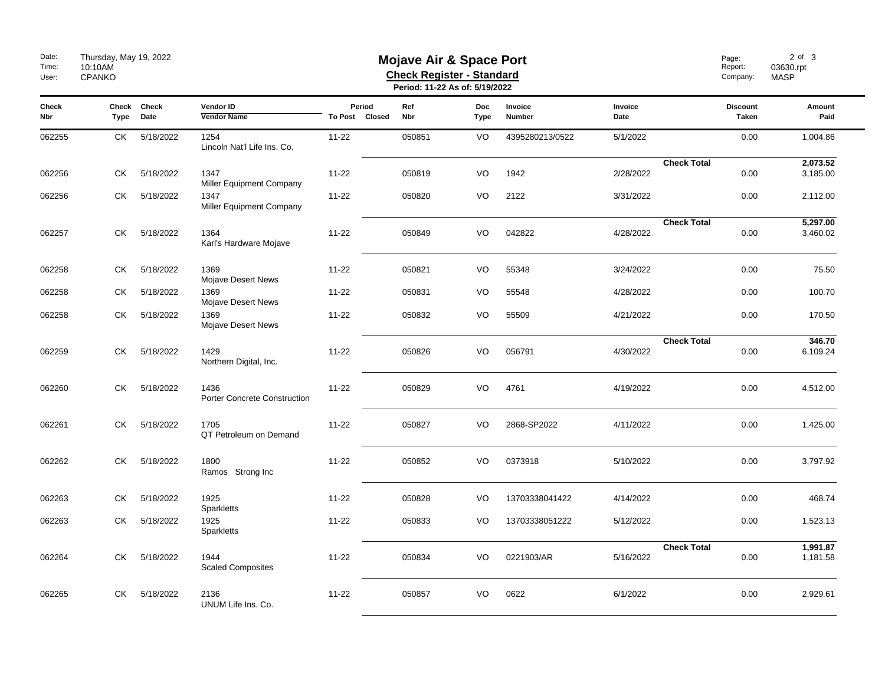| Date:<br>Time:<br>User: | Thursday, May 19, 2022<br>10:10AM<br><b>CPANKO</b> |                     | <b>Mojave Air &amp; Space Port</b><br><b>Check Register - Standard</b><br>Period: 11-22 As of: 5/19/2022 |                          |            |                    |                   |                 |                    | Page:<br>Report:<br>Company: | $2$ of $3$<br>03630.rpt<br><b>MASP</b> |
|-------------------------|----------------------------------------------------|---------------------|----------------------------------------------------------------------------------------------------------|--------------------------|------------|--------------------|-------------------|-----------------|--------------------|------------------------------|----------------------------------------|
| <b>Check</b><br>Nbr     | Type                                               | Check Check<br>Date | Vendor ID<br><b>Vendor Name</b>                                                                          | Period<br>To Post Closed | Ref<br>Nbr | <b>Doc</b><br>Type | Invoice<br>Number | Invoice<br>Date |                    | <b>Discount</b><br>Taken     | Amount<br>Paid                         |
| 062255                  | СK                                                 | 5/18/2022           | 1254<br>Lincoln Nat'l Life Ins. Co.                                                                      | $11 - 22$                | 050851     | VO                 | 4395280213/0522   | 5/1/2022        |                    | 0.00                         | 1,004.86                               |
| 062256                  | СK                                                 | 5/18/2022           | 1347<br><b>Miller Equipment Company</b>                                                                  | $11 - 22$                | 050819     | VO                 | 1942              | 2/28/2022       | <b>Check Total</b> | 0.00                         | 2,073.52<br>3,185.00                   |
| 062256                  | CK.                                                | 5/18/2022           | 1347<br>Miller Equipment Company                                                                         | $11 - 22$                | 050820     | VO                 | 2122              | 3/31/2022       |                    | 0.00                         | 2,112.00                               |
| 062257                  | СK                                                 | 5/18/2022           | 1364<br>Karl's Hardware Mojave                                                                           | $11 - 22$                | 050849     | VO                 | 042822            | 4/28/2022       | <b>Check Total</b> | 0.00                         | 5,297.00<br>3,460.02                   |
| 062258                  | СK                                                 | 5/18/2022           | 1369<br>Mojave Desert News                                                                               | $11 - 22$                | 050821     | VO                 | 55348             | 3/24/2022       |                    | 0.00                         | 75.50                                  |
| 062258                  | СK                                                 | 5/18/2022           | 1369<br>Mojave Desert News                                                                               | $11 - 22$                | 050831     | VO                 | 55548             | 4/28/2022       |                    | 0.00                         | 100.70                                 |
| 062258                  | СK                                                 | 5/18/2022           | 1369<br>Mojave Desert News                                                                               | $11 - 22$                | 050832     | VO                 | 55509             | 4/21/2022       |                    | 0.00                         | 170.50                                 |
| 062259                  | СK                                                 | 5/18/2022           | 1429<br>Northern Digital, Inc.                                                                           | $11 - 22$                | 050826     | VO                 | 056791            | 4/30/2022       | <b>Check Total</b> | 0.00                         | 346.70<br>6,109.24                     |
| 062260                  | <b>CK</b>                                          | 5/18/2022           | 1436<br>Porter Concrete Construction                                                                     | $11 - 22$                | 050829     | VO                 | 4761              | 4/19/2022       |                    | 0.00                         | 4,512.00                               |
| 062261                  | СK                                                 | 5/18/2022           | 1705<br>QT Petroleum on Demand                                                                           | $11 - 22$                | 050827     | VO                 | 2868-SP2022       | 4/11/2022       |                    | 0.00                         | 1,425.00                               |
| 062262                  | CK.                                                | 5/18/2022           | 1800<br>Ramos Strong Inc                                                                                 | $11 - 22$                | 050852     | VO                 | 0373918           | 5/10/2022       |                    | 0.00                         | 3,797.92                               |
| 062263                  | СK                                                 | 5/18/2022           | 1925<br>Sparkletts                                                                                       | $11 - 22$                | 050828     | VO                 | 13703338041422    | 4/14/2022       |                    | 0.00                         | 468.74                                 |
| 062263                  | СK                                                 | 5/18/2022           | 1925<br><b>Sparkletts</b>                                                                                | $11 - 22$                | 050833     | VO                 | 13703338051222    | 5/12/2022       |                    | 0.00                         | 1,523.13                               |
| 062264                  | СK                                                 | 5/18/2022           | 1944<br><b>Scaled Composites</b>                                                                         | $11 - 22$                | 050834     | VO                 | 0221903/AR        | 5/16/2022       | <b>Check Total</b> | 0.00                         | 1,991.87<br>1,181.58                   |
| 062265                  | CK.                                                | 5/18/2022           | 2136<br>UNUM Life Ins. Co.                                                                               | $11 - 22$                | 050857     | VO                 | 0622              | 6/1/2022        |                    | 0.00                         | 2,929.61                               |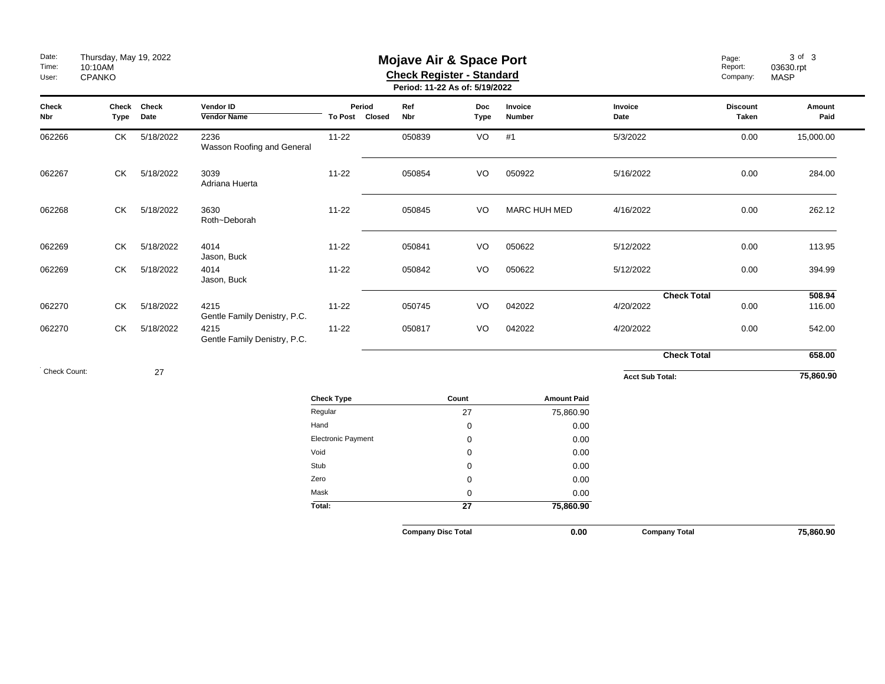| Date:<br>Time:<br>User: | Thursday, May 19, 2022<br><b>Mojave Air &amp; Space Port</b><br>10:10AM<br><b>Check Register - Standard</b><br>CPANKO<br>Period: 11-22 As of: 5/19/2022 |                     |                                      |                           |                          |                           |                    |                     |                        |                    | Page:<br>Report:<br>Company: | 3 of 3<br>03630.rpt<br><b>MASP</b> |
|-------------------------|---------------------------------------------------------------------------------------------------------------------------------------------------------|---------------------|--------------------------------------|---------------------------|--------------------------|---------------------------|--------------------|---------------------|------------------------|--------------------|------------------------------|------------------------------------|
| Check<br>Nbr            | Type                                                                                                                                                    | Check Check<br>Date | Vendor ID<br>Vendor Name             |                           | Period<br>To Post Closed | Ref<br>Nbr                | Doc<br><b>Type</b> | Invoice<br>Number   | Invoice<br>Date        |                    | <b>Discount</b><br>Taken     | Amount<br>Paid                     |
| 062266                  | СK                                                                                                                                                      | 5/18/2022           | 2236<br>Wasson Roofing and General   | $11 - 22$                 |                          | 050839                    | VO                 | #1                  | 5/3/2022               |                    | 0.00                         | 15,000.00                          |
| 062267                  | CK                                                                                                                                                      | 5/18/2022           | 3039<br>Adriana Huerta               | $11 - 22$                 |                          | 050854                    | VO                 | 050922              | 5/16/2022              |                    | 0.00                         | 284.00                             |
| 062268                  | CK                                                                                                                                                      | 5/18/2022           | 3630<br>Roth~Deborah                 | $11 - 22$                 |                          | 050845                    | VO                 | <b>MARC HUH MED</b> | 4/16/2022              |                    | 0.00                         | 262.12                             |
| 062269                  | CK                                                                                                                                                      | 5/18/2022           | 4014<br>Jason, Buck                  | $11 - 22$                 |                          | 050841                    | VO                 | 050622              | 5/12/2022              |                    | 0.00                         | 113.95                             |
| 062269                  | CK                                                                                                                                                      | 5/18/2022           | 4014<br>Jason, Buck                  | $11 - 22$                 |                          | 050842                    | VO                 | 050622              | 5/12/2022              |                    | 0.00                         | 394.99                             |
| 062270                  | CK.                                                                                                                                                     | 5/18/2022           | 4215<br>Gentle Family Denistry, P.C. | $11 - 22$                 |                          | 050745                    | VO                 | 042022              | 4/20/2022              | <b>Check Total</b> | 0.00                         | 508.94<br>116.00                   |
| 062270                  | CK                                                                                                                                                      | 5/18/2022           | 4215<br>Gentle Family Denistry, P.C. | $11 - 22$                 |                          | 050817                    | VO                 | 042022              | 4/20/2022              |                    | 0.00                         | 542.00                             |
|                         |                                                                                                                                                         |                     |                                      |                           |                          |                           |                    |                     |                        | <b>Check Total</b> |                              | 658.00                             |
| Check Count:            |                                                                                                                                                         | 27                  |                                      |                           |                          |                           |                    |                     | <b>Acct Sub Total:</b> |                    |                              | 75,860.90                          |
|                         |                                                                                                                                                         |                     |                                      | <b>Check Type</b>         |                          |                           | Count              | <b>Amount Paid</b>  |                        |                    |                              |                                    |
|                         |                                                                                                                                                         |                     |                                      | Regular                   |                          |                           | 27                 | 75,860.90           |                        |                    |                              |                                    |
|                         |                                                                                                                                                         |                     |                                      | Hand                      |                          |                           | $\mathbf 0$        | 0.00                |                        |                    |                              |                                    |
|                         |                                                                                                                                                         |                     |                                      | <b>Electronic Payment</b> |                          |                           | $\mathbf 0$        | 0.00                |                        |                    |                              |                                    |
|                         |                                                                                                                                                         |                     |                                      | Void                      |                          |                           | $\mathbf 0$        | 0.00                |                        |                    |                              |                                    |
|                         |                                                                                                                                                         |                     |                                      | Stub<br>Zero              |                          |                           | $\mathbf 0$        | 0.00<br>0.00        |                        |                    |                              |                                    |
|                         |                                                                                                                                                         |                     |                                      | Mask                      |                          |                           | 0<br>$\mathbf 0$   | 0.00                |                        |                    |                              |                                    |
|                         |                                                                                                                                                         |                     |                                      | Total:                    |                          |                           | $\overline{27}$    | 75,860.90           |                        |                    |                              |                                    |
|                         |                                                                                                                                                         |                     |                                      |                           |                          | <b>Company Disc Total</b> |                    | 0.00                | <b>Company Total</b>   |                    |                              | 75,860.90                          |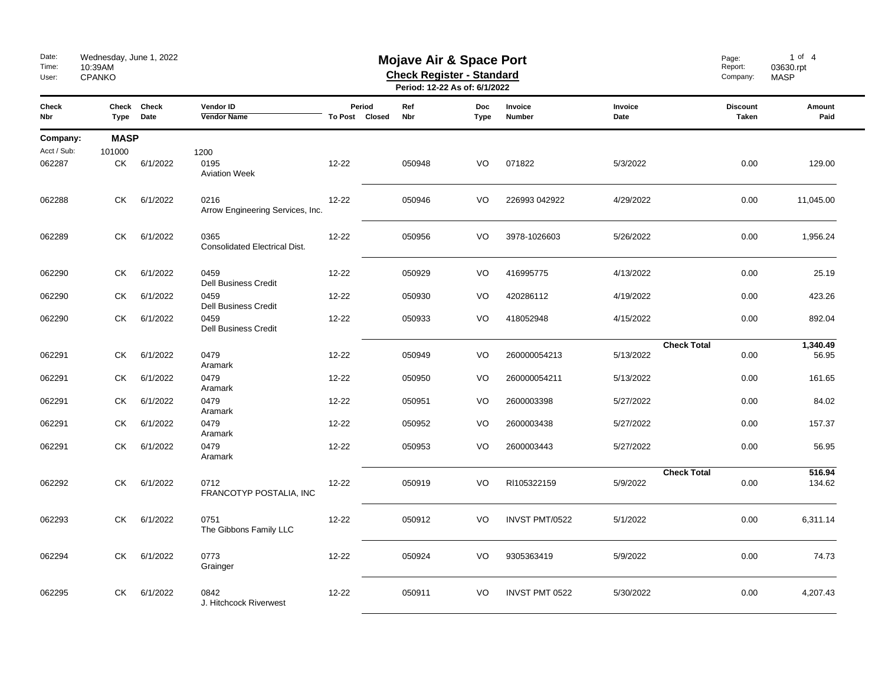| Date:<br>Time:<br>User: | Wednesday, June 1, 2022<br><b>Mojave Air &amp; Space Port</b><br>10:39AM<br><b>Check Register - Standard</b><br>CPANKO<br>Period: 12-22 As of: 6/1/2022 |                     |                                              |                          |            |                           |                          |                 | Page:<br>Report:<br>Company:    | $1$ of $4$<br>03630.rpt<br><b>MASP</b> |
|-------------------------|---------------------------------------------------------------------------------------------------------------------------------------------------------|---------------------|----------------------------------------------|--------------------------|------------|---------------------------|--------------------------|-----------------|---------------------------------|----------------------------------------|
| Check<br>Nbr            | Type                                                                                                                                                    | Check Check<br>Date | <b>Vendor ID</b><br><b>Vendor Name</b>       | Period<br>To Post Closed | Ref<br>Nbr | <b>Doc</b><br><b>Type</b> | Invoice<br><b>Number</b> | Invoice<br>Date | <b>Discount</b><br><b>Taken</b> | Amount<br>Paid                         |
| Company:                | <b>MASP</b>                                                                                                                                             |                     |                                              |                          |            |                           |                          |                 |                                 |                                        |
| Acct / Sub:             | 101000                                                                                                                                                  |                     | 1200                                         |                          |            |                           |                          |                 |                                 |                                        |
| 062287                  | СK                                                                                                                                                      | 6/1/2022            | 0195<br><b>Aviation Week</b>                 | 12-22                    | 050948     | VO                        | 071822                   | 5/3/2022        | 0.00                            | 129.00                                 |
| 062288                  | СK                                                                                                                                                      | 6/1/2022            | 0216<br>Arrow Engineering Services, Inc.     | $12 - 22$                | 050946     | VO                        | 226993 042922            | 4/29/2022       | 0.00                            | 11,045.00                              |
| 062289                  | СK                                                                                                                                                      | 6/1/2022            | 0365<br><b>Consolidated Electrical Dist.</b> | $12 - 22$                | 050956     | VO                        | 3978-1026603             | 5/26/2022       | 0.00                            | 1,956.24                               |
| 062290                  | СK                                                                                                                                                      | 6/1/2022            | 0459<br><b>Dell Business Credit</b>          | $12 - 22$                | 050929     | VO                        | 416995775                | 4/13/2022       | 0.00                            | 25.19                                  |
| 062290                  | СK                                                                                                                                                      | 6/1/2022            | 0459<br><b>Dell Business Credit</b>          | $12 - 22$                | 050930     | VO                        | 420286112                | 4/19/2022       | 0.00                            | 423.26                                 |
| 062290                  | СK                                                                                                                                                      | 6/1/2022            | 0459<br><b>Dell Business Credit</b>          | $12 - 22$                | 050933     | VO                        | 418052948                | 4/15/2022       | 0.00                            | 892.04                                 |
|                         |                                                                                                                                                         |                     |                                              |                          |            |                           |                          |                 | <b>Check Total</b>              | 1,340.49                               |
| 062291                  | СK                                                                                                                                                      | 6/1/2022            | 0479<br>Aramark                              | 12-22                    | 050949     | VO                        | 260000054213             | 5/13/2022       | 0.00                            | 56.95                                  |
| 062291                  | СK                                                                                                                                                      | 6/1/2022            | 0479<br>Aramark                              | 12-22                    | 050950     | VO                        | 260000054211             | 5/13/2022       | 0.00                            | 161.65                                 |
| 062291                  | СK                                                                                                                                                      | 6/1/2022            | 0479<br>Aramark                              | 12-22                    | 050951     | VO                        | 2600003398               | 5/27/2022       | 0.00                            | 84.02                                  |
| 062291                  | СK                                                                                                                                                      | 6/1/2022            | 0479<br>Aramark                              | $12 - 22$                | 050952     | VO                        | 2600003438               | 5/27/2022       | 0.00                            | 157.37                                 |
| 062291                  | СK                                                                                                                                                      | 6/1/2022            | 0479<br>Aramark                              | 12-22                    | 050953     | VO                        | 2600003443               | 5/27/2022       | 0.00                            | 56.95                                  |
| 062292                  | СK                                                                                                                                                      | 6/1/2022            | 0712<br>FRANCOTYP POSTALIA, INC              | $12 - 22$                | 050919     | VO                        | RI105322159              | 5/9/2022        | <b>Check Total</b><br>0.00      | 516.94<br>134.62                       |
| 062293                  | СK                                                                                                                                                      | 6/1/2022            | 0751<br>The Gibbons Family LLC               | 12-22                    | 050912     | VO                        | <b>INVST PMT/0522</b>    | 5/1/2022        | 0.00                            | 6,311.14                               |
| 062294                  | СK                                                                                                                                                      | 6/1/2022            | 0773<br>Grainger                             | 12-22                    | 050924     | VO                        | 9305363419               | 5/9/2022        | 0.00                            | 74.73                                  |
| 062295                  | СK                                                                                                                                                      | 6/1/2022            | 0842<br>J. Hitchcock Riverwest               | $12 - 22$                | 050911     | VO                        | <b>INVST PMT 0522</b>    | 5/30/2022       | 0.00                            | 4,207.43                               |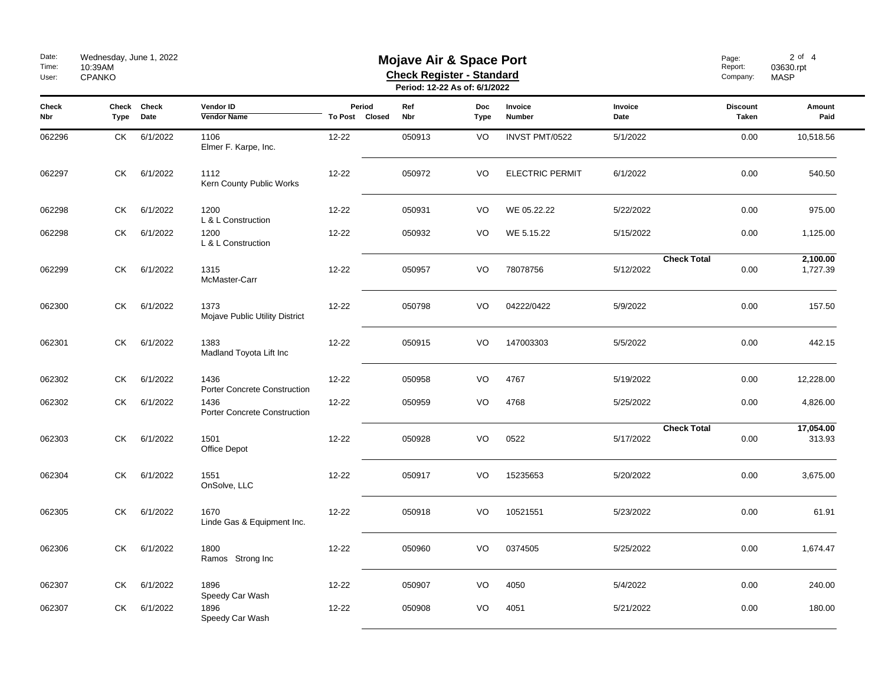| Date:<br>Time:<br>User: | Wednesday, June 1, 2022<br>10:39AM<br><b>CPANKO</b> |                     |                                             | Page:<br>Report:<br>Company: | $2$ of $4$<br>03630.rpt<br><b>MASP</b> |                    |                        |                 |                                 |                      |
|-------------------------|-----------------------------------------------------|---------------------|---------------------------------------------|------------------------------|----------------------------------------|--------------------|------------------------|-----------------|---------------------------------|----------------------|
| <b>Check</b><br>Nbr     | Type                                                | Check Check<br>Date | Vendor ID<br><b>Vendor Name</b>             | Period<br>To Post Closed     | Ref<br>Nbr                             | <b>Doc</b><br>Type | Invoice<br>Number      | Invoice<br>Date | <b>Discount</b><br><b>Taken</b> | Amount<br>Paid       |
| 062296                  | СK                                                  | 6/1/2022            | 1106<br>Elmer F. Karpe, Inc.                | $12 - 22$                    | 050913                                 | VO                 | INVST PMT/0522         | 5/1/2022        | 0.00                            | 10,518.56            |
| 062297                  | СK                                                  | 6/1/2022            | 1112<br>Kern County Public Works            | $12 - 22$                    | 050972                                 | VO                 | <b>ELECTRIC PERMIT</b> | 6/1/2022        | 0.00                            | 540.50               |
| 062298                  | СK                                                  | 6/1/2022            | 1200<br>L & L Construction                  | 12-22                        | 050931                                 | VO                 | WE 05.22.22            | 5/22/2022       | 0.00                            | 975.00               |
| 062298                  | СK                                                  | 6/1/2022            | 1200<br>L & L Construction                  | 12-22                        | 050932                                 | VO                 | WE 5.15.22             | 5/15/2022       | 0.00                            | 1,125.00             |
| 062299                  | СK                                                  | 6/1/2022            | 1315<br>McMaster-Carr                       | $12 - 22$                    | 050957                                 | VO                 | 78078756               | 5/12/2022       | <b>Check Total</b><br>0.00      | 2,100.00<br>1,727.39 |
| 062300                  | СK                                                  | 6/1/2022            | 1373<br>Mojave Public Utility District      | $12 - 22$                    | 050798                                 | VO                 | 04222/0422             | 5/9/2022        | 0.00                            | 157.50               |
| 062301                  | СK                                                  | 6/1/2022            | 1383<br>Madland Toyota Lift Inc             | $12 - 22$                    | 050915                                 | VO                 | 147003303              | 5/5/2022        | 0.00                            | 442.15               |
| 062302                  | СK                                                  | 6/1/2022            | 1436<br><b>Porter Concrete Construction</b> | 12-22                        | 050958                                 | VO                 | 4767                   | 5/19/2022       | 0.00                            | 12,228.00            |
| 062302                  | СK                                                  | 6/1/2022            | 1436<br>Porter Concrete Construction        | 12-22                        | 050959                                 | VO                 | 4768                   | 5/25/2022       | 0.00                            | 4,826.00             |
| 062303                  | СK                                                  | 6/1/2022            | 1501<br>Office Depot                        | $12 - 22$                    | 050928                                 | VO                 | 0522                   | 5/17/2022       | <b>Check Total</b><br>0.00      | 17,054.00<br>313.93  |
| 062304                  | СK                                                  | 6/1/2022            | 1551<br>OnSolve, LLC                        | 12-22                        | 050917                                 | VO                 | 15235653               | 5/20/2022       | 0.00                            | 3,675.00             |
| 062305                  | СK                                                  | 6/1/2022            | 1670<br>Linde Gas & Equipment Inc.          | $12 - 22$                    | 050918                                 | VO                 | 10521551               | 5/23/2022       | 0.00                            | 61.91                |
| 062306                  | СK                                                  | 6/1/2022            | 1800<br>Ramos Strong Inc                    | $12 - 22$                    | 050960                                 | VO                 | 0374505                | 5/25/2022       | 0.00                            | 1,674.47             |
| 062307                  | СK                                                  | 6/1/2022            | 1896<br>Speedy Car Wash                     | 12-22                        | 050907                                 | VO                 | 4050                   | 5/4/2022        | 0.00                            | 240.00               |
| 062307                  | СK                                                  | 6/1/2022            | 1896<br>Speedy Car Wash                     | $12 - 22$                    | 050908                                 | VO                 | 4051                   | 5/21/2022       | 0.00                            | 180.00               |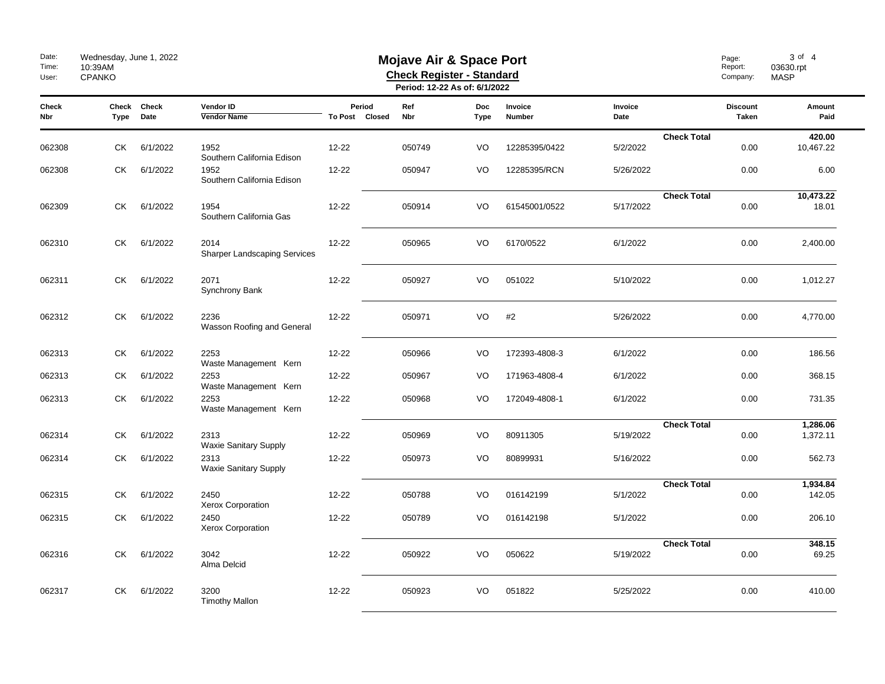| Date:<br>Time:<br>User: | Wednesday, June 1, 2022<br><b>Mojave Air &amp; Space Port</b><br>10:39AM<br><b>Check Register - Standard</b><br><b>CPANKO</b><br>Period: 12-22 As of: 6/1/2022 |                     |                                             |                          |            |                           |                   |                 | Page:<br>Report:<br>Company: | 3 of 4<br>03630.rpt<br><b>MASP</b> |                      |
|-------------------------|----------------------------------------------------------------------------------------------------------------------------------------------------------------|---------------------|---------------------------------------------|--------------------------|------------|---------------------------|-------------------|-----------------|------------------------------|------------------------------------|----------------------|
| <b>Check</b><br>Nbr     | Type                                                                                                                                                           | Check Check<br>Date | Vendor ID<br><b>Vendor Name</b>             | Period<br>To Post Closed | Ref<br>Nbr | <b>Doc</b><br><b>Type</b> | Invoice<br>Number | Invoice<br>Date |                              | <b>Discount</b><br>Taken           | Amount<br>Paid       |
| 062308                  | СK                                                                                                                                                             | 6/1/2022            | 1952<br>Southern California Edison          | 12-22                    | 050749     | VO                        | 12285395/0422     | 5/2/2022        | <b>Check Total</b>           | 0.00                               | 420.00<br>10,467.22  |
| 062308                  | СK                                                                                                                                                             | 6/1/2022            | 1952<br>Southern California Edison          | $12 - 22$                | 050947     | VO                        | 12285395/RCN      | 5/26/2022       |                              | 0.00                               | 6.00                 |
| 062309                  | СK                                                                                                                                                             | 6/1/2022            | 1954<br>Southern California Gas             | $12 - 22$                | 050914     | VO                        | 61545001/0522     | 5/17/2022       | <b>Check Total</b>           | 0.00                               | 10,473.22<br>18.01   |
| 062310                  | СK                                                                                                                                                             | 6/1/2022            | 2014<br><b>Sharper Landscaping Services</b> | 12-22                    | 050965     | VO                        | 6170/0522         | 6/1/2022        |                              | 0.00                               | 2,400.00             |
| 062311                  | <b>CK</b>                                                                                                                                                      | 6/1/2022            | 2071<br>Synchrony Bank                      | $12 - 22$                | 050927     | VO                        | 051022            | 5/10/2022       |                              | 0.00                               | 1,012.27             |
| 062312                  | СK                                                                                                                                                             | 6/1/2022            | 2236<br>Wasson Roofing and General          | 12-22                    | 050971     | VO                        | #2                | 5/26/2022       |                              | 0.00                               | 4,770.00             |
| 062313                  | СK                                                                                                                                                             | 6/1/2022            | 2253<br>Waste Management Kern               | 12-22                    | 050966     | VO                        | 172393-4808-3     | 6/1/2022        |                              | 0.00                               | 186.56               |
| 062313                  | СK                                                                                                                                                             | 6/1/2022            | 2253<br>Waste Management Kern               | 12-22                    | 050967     | VO                        | 171963-4808-4     | 6/1/2022        |                              | 0.00                               | 368.15               |
| 062313                  | СK                                                                                                                                                             | 6/1/2022            | 2253<br>Waste Management Kern               | $12 - 22$                | 050968     | VO                        | 172049-4808-1     | 6/1/2022        |                              | 0.00                               | 731.35               |
| 062314                  | СK                                                                                                                                                             | 6/1/2022            | 2313<br><b>Waxie Sanitary Supply</b>        | 12-22                    | 050969     | VO                        | 80911305          | 5/19/2022       | <b>Check Total</b>           | 0.00                               | 1,286.06<br>1,372.11 |
| 062314                  | СK                                                                                                                                                             | 6/1/2022            | 2313<br>Waxie Sanitary Supply               | 12-22                    | 050973     | VO                        | 80899931          | 5/16/2022       |                              | 0.00                               | 562.73               |
| 062315                  | CK.                                                                                                                                                            | 6/1/2022            | 2450<br>Xerox Corporation                   | $12 - 22$                | 050788     | VO                        | 016142199         | 5/1/2022        | <b>Check Total</b>           | 0.00                               | 1,934.84<br>142.05   |
| 062315                  | СK                                                                                                                                                             | 6/1/2022            | 2450<br>Xerox Corporation                   | 12-22                    | 050789     | VO                        | 016142198         | 5/1/2022        |                              | 0.00                               | 206.10               |
| 062316                  | СK                                                                                                                                                             | 6/1/2022            | 3042<br>Alma Delcid                         | 12-22                    | 050922     | VO                        | 050622            | 5/19/2022       | <b>Check Total</b>           | 0.00                               | 348.15<br>69.25      |
| 062317                  | СK                                                                                                                                                             | 6/1/2022            | 3200<br><b>Timothy Mallon</b>               | 12-22                    | 050923     | VO                        | 051822            | 5/25/2022       |                              | 0.00                               | 410.00               |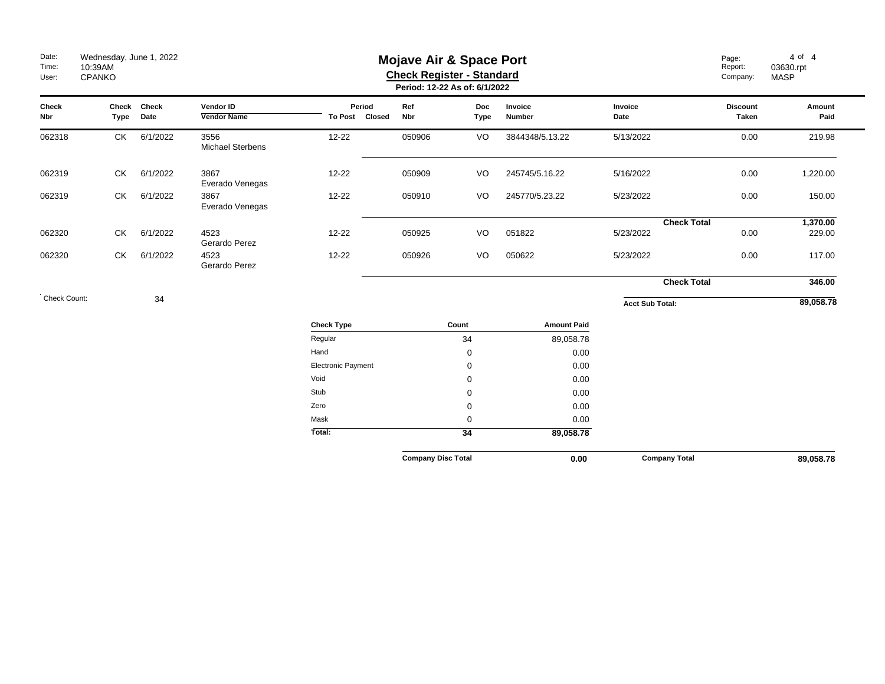| Date:<br>Time:<br>User: | Wednesday, June 1, 2022<br>10:39AM<br><b>CPANKO</b> |                     |                                 |                          |                           | <b>Mojave Air &amp; Space Port</b><br><b>Check Register - Standard</b><br>Period: 12-22 As of: 6/1/2022 | Page:<br>Report:<br>Company: | $4$ of $4$<br>03630.rpt<br><b>MASP</b> |                                 |                |
|-------------------------|-----------------------------------------------------|---------------------|---------------------------------|--------------------------|---------------------------|---------------------------------------------------------------------------------------------------------|------------------------------|----------------------------------------|---------------------------------|----------------|
| Check<br>Nbr            | Type                                                | Check Check<br>Date | Vendor ID<br><b>Vendor Name</b> | Period<br>To Post Closed | Ref<br>Nbr                | <b>Doc</b><br><b>Type</b>                                                                               | Invoice<br>Number            | Invoice<br>Date                        | <b>Discount</b><br><b>Taken</b> | Amount<br>Paid |
| 062318                  | <b>CK</b>                                           | 6/1/2022            | 3556<br>Michael Sterbens        | $12 - 22$                | 050906                    | VO                                                                                                      | 3844348/5.13.22              | 5/13/2022                              | 0.00                            | 219.98         |
| 062319                  | СK                                                  | 6/1/2022            | 3867<br>Everado Venegas         | $12 - 22$                | 050909                    | VO                                                                                                      | 245745/5.16.22               | 5/16/2022                              | 0.00                            | 1,220.00       |
| 062319                  | СK                                                  | 6/1/2022            | 3867<br>Everado Venegas         | $12 - 22$                | 050910                    | VO                                                                                                      | 245770/5.23.22               | 5/23/2022                              | 0.00                            | 150.00         |
|                         |                                                     |                     |                                 |                          |                           |                                                                                                         |                              | <b>Check Total</b>                     |                                 | 1,370.00       |
| 062320                  | СK                                                  | 6/1/2022            | 4523<br>Gerardo Perez           | $12 - 22$                | 050925                    | VO                                                                                                      | 051822                       | 5/23/2022                              | 0.00                            | 229.00         |
| 062320                  | СK                                                  | 6/1/2022            | 4523<br>Gerardo Perez           | $12 - 22$                | 050926                    | VO                                                                                                      | 050622                       | 5/23/2022                              | 0.00                            | 117.00         |
|                         |                                                     |                     |                                 |                          |                           |                                                                                                         |                              | <b>Check Total</b>                     |                                 | 346.00         |
| Check Count:            |                                                     | 34                  |                                 |                          |                           |                                                                                                         |                              | <b>Acct Sub Total:</b>                 |                                 | 89,058.78      |
|                         |                                                     |                     |                                 | <b>Check Type</b>        |                           | Count                                                                                                   | <b>Amount Paid</b>           |                                        |                                 |                |
|                         |                                                     |                     |                                 | Regular                  |                           | 34                                                                                                      | 89,058.78                    |                                        |                                 |                |
|                         |                                                     |                     |                                 | Hand                     |                           | 0                                                                                                       | 0.00                         |                                        |                                 |                |
|                         |                                                     |                     |                                 | Electronic Payment       |                           | 0                                                                                                       | 0.00                         |                                        |                                 |                |
|                         |                                                     |                     |                                 | Void                     |                           | 0                                                                                                       | 0.00                         |                                        |                                 |                |
|                         |                                                     |                     |                                 | Stub                     |                           | 0                                                                                                       | 0.00                         |                                        |                                 |                |
|                         |                                                     |                     |                                 | Zero                     |                           | 0                                                                                                       | 0.00                         |                                        |                                 |                |
|                         |                                                     |                     |                                 | Mask                     |                           | 0                                                                                                       | 0.00                         |                                        |                                 |                |
|                         |                                                     |                     |                                 | Total:                   |                           | 34                                                                                                      | 89,058.78                    |                                        |                                 |                |
|                         |                                                     |                     |                                 |                          | <b>Company Disc Total</b> |                                                                                                         | 0.00                         | <b>Company Total</b>                   |                                 | 89.058.78      |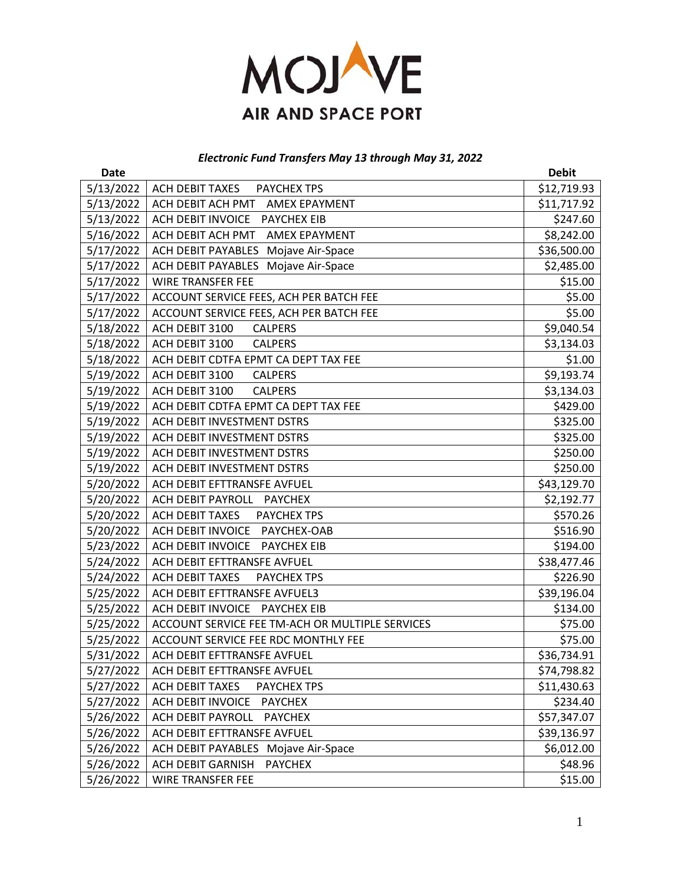

# *Electronic Fund Transfers May 13 through May 31, 2022*

| <b>Date</b> |                                                 | <b>Debit</b> |
|-------------|-------------------------------------------------|--------------|
| 5/13/2022   | ACH DEBIT TAXES<br><b>PAYCHEX TPS</b>           | \$12,719.93  |
| 5/13/2022   | ACH DEBIT ACH PMT<br><b>AMEX EPAYMENT</b>       | \$11,717.92  |
| 5/13/2022   | ACH DEBIT INVOICE PAYCHEX EIB                   | \$247.60     |
| 5/16/2022   | ACH DEBIT ACH PMT<br><b>AMEX EPAYMENT</b>       | \$8,242.00   |
| 5/17/2022   | Mojave Air-Space<br>ACH DEBIT PAYABLES          | \$36,500.00  |
| 5/17/2022   | ACH DEBIT PAYABLES Mojave Air-Space             | \$2,485.00   |
| 5/17/2022   | <b>WIRE TRANSFER FEE</b>                        | \$15.00      |
| 5/17/2022   | ACCOUNT SERVICE FEES, ACH PER BATCH FEE         | \$5.00       |
| 5/17/2022   | ACCOUNT SERVICE FEES, ACH PER BATCH FEE         | \$5.00       |
| 5/18/2022   | ACH DEBIT 3100<br><b>CALPERS</b>                | \$9,040.54   |
| 5/18/2022   | ACH DEBIT 3100<br><b>CALPERS</b>                | \$3,134.03   |
| 5/18/2022   | ACH DEBIT CDTFA EPMT CA DEPT TAX FEE            | \$1.00       |
| 5/19/2022   | ACH DEBIT 3100<br><b>CALPERS</b>                | \$9,193.74   |
| 5/19/2022   | ACH DEBIT 3100<br><b>CALPERS</b>                | \$3,134.03   |
| 5/19/2022   | ACH DEBIT CDTFA EPMT CA DEPT TAX FEE            | \$429.00     |
| 5/19/2022   | ACH DEBIT INVESTMENT DSTRS                      | \$325.00     |
| 5/19/2022   | ACH DEBIT INVESTMENT DSTRS                      | \$325.00     |
| 5/19/2022   | ACH DEBIT INVESTMENT DSTRS                      | \$250.00     |
| 5/19/2022   | ACH DEBIT INVESTMENT DSTRS                      | \$250.00     |
| 5/20/2022   | ACH DEBIT EFTTRANSFE AVFUEL                     | \$43,129.70  |
| 5/20/2022   | ACH DEBIT PAYROLL PAYCHEX                       | \$2,192.77   |
| 5/20/2022   | ACH DEBIT TAXES PAYCHEX TPS                     | \$570.26     |
| 5/20/2022   | ACH DEBIT INVOICE PAYCHEX-OAB                   | \$516.90     |
| 5/23/2022   | ACH DEBIT INVOICE PAYCHEX EIB                   | \$194.00     |
| 5/24/2022   | ACH DEBIT EFTTRANSFE AVFUEL                     | \$38,477.46  |
| 5/24/2022   | ACH DEBIT TAXES<br><b>PAYCHEX TPS</b>           | \$226.90     |
| 5/25/2022   | ACH DEBIT EFTTRANSFE AVFUEL3                    | \$39,196.04  |
| 5/25/2022   | ACH DEBIT INVOICE PAYCHEX EIB                   | \$134.00     |
| 5/25/2022   | ACCOUNT SERVICE FEE TM-ACH OR MULTIPLE SERVICES | \$75.00      |
| 5/25/2022   | ACCOUNT SERVICE FEE RDC MONTHLY FEE             | \$75.00      |
| 5/31/2022   | ACH DEBIT EFTTRANSFE AVFUEL                     | \$36,734.91  |
| 5/27/2022   | ACH DEBIT EFTTRANSFE AVFUEL                     | \$74,798.82  |
| 5/27/2022   | <b>ACH DEBIT TAXES</b><br>PAYCHEX TPS           | \$11,430.63  |
| 5/27/2022   | ACH DEBIT INVOICE<br><b>PAYCHEX</b>             | \$234.40     |
| 5/26/2022   | <b>ACH DEBIT PAYROLL</b><br><b>PAYCHEX</b>      | \$57,347.07  |
| 5/26/2022   | ACH DEBIT EFTTRANSFE AVFUEL                     | \$39,136.97  |
| 5/26/2022   | ACH DEBIT PAYABLES Mojave Air-Space             | \$6,012.00   |
| 5/26/2022   | ACH DEBIT GARNISH<br><b>PAYCHEX</b>             | \$48.96      |
| 5/26/2022   | <b>WIRE TRANSFER FEE</b>                        | \$15.00      |